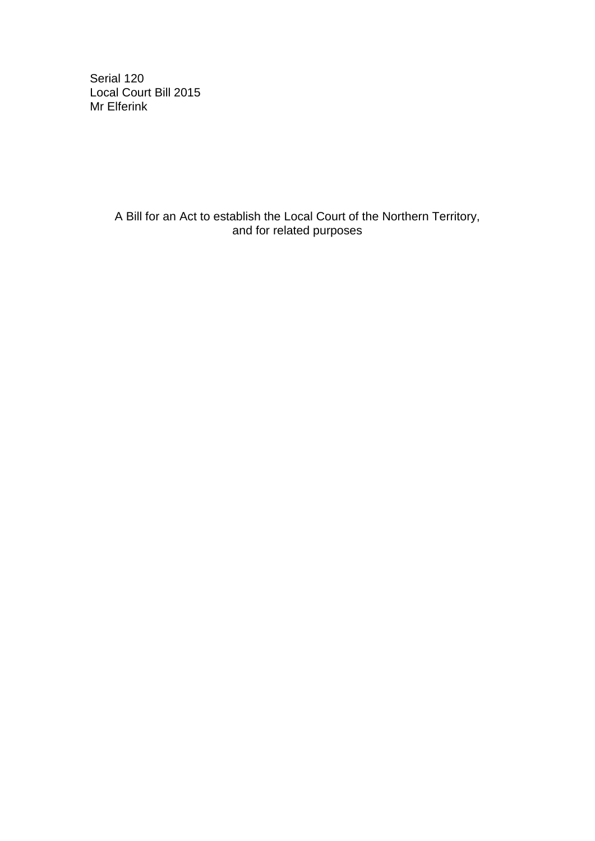Serial 120 Local Court Bill 2015 Mr Elferink

> A Bill for an Act to establish the Local Court of the Northern Territory, and for related purposes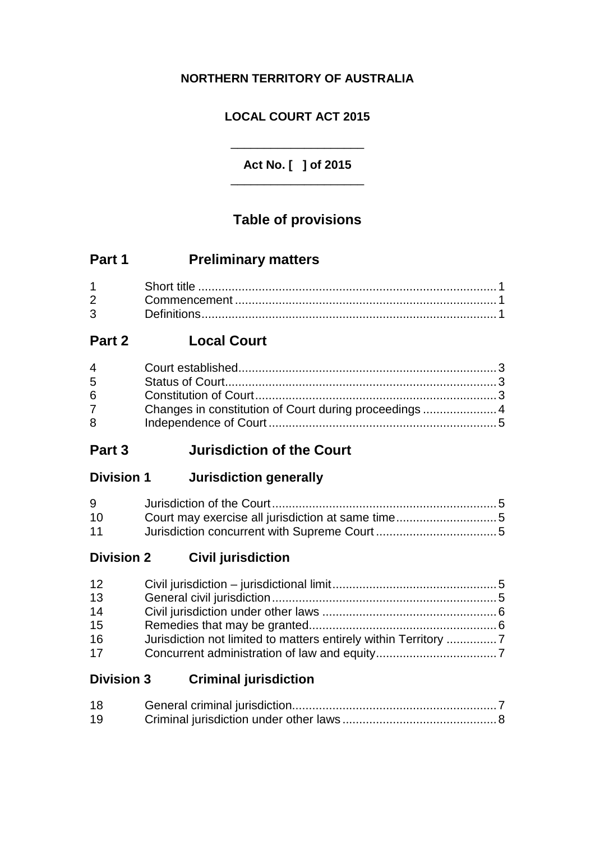## **NORTHERN TERRITORY OF AUSTRALIA**

## **LOCAL COURT ACT 2015**

## **Act No. [ ] of 2015** \_\_\_\_\_\_\_\_\_\_\_\_\_\_\_\_\_\_\_\_

\_\_\_\_\_\_\_\_\_\_\_\_\_\_\_\_\_\_\_\_

# **Table of provisions**

# **Part 1 Preliminary matters**

| $2 \left( \frac{1}{2} \right)$ |  |
|--------------------------------|--|
| $3 \quad \blacksquare$         |  |

## **Part 2 Local Court**

| $4\overline{ }$ |                                                        |  |
|-----------------|--------------------------------------------------------|--|
| $5^{\circ}$     |                                                        |  |
| 6               |                                                        |  |
| $7 \quad$       | Changes in constitution of Court during proceedings  4 |  |
| 8               |                                                        |  |
|                 |                                                        |  |

## **Part 3 Jurisdiction of the Court**

## **Division 1 Jurisdiction generally**

| 9  |  |
|----|--|
| 10 |  |
| 11 |  |

**Division 2 Civil jurisdiction**

| 12 |  |
|----|--|
| 13 |  |
| 14 |  |
| 15 |  |
| 16 |  |
| 17 |  |

## **Division 3 Criminal jurisdiction**

| 18 |  |
|----|--|
| 19 |  |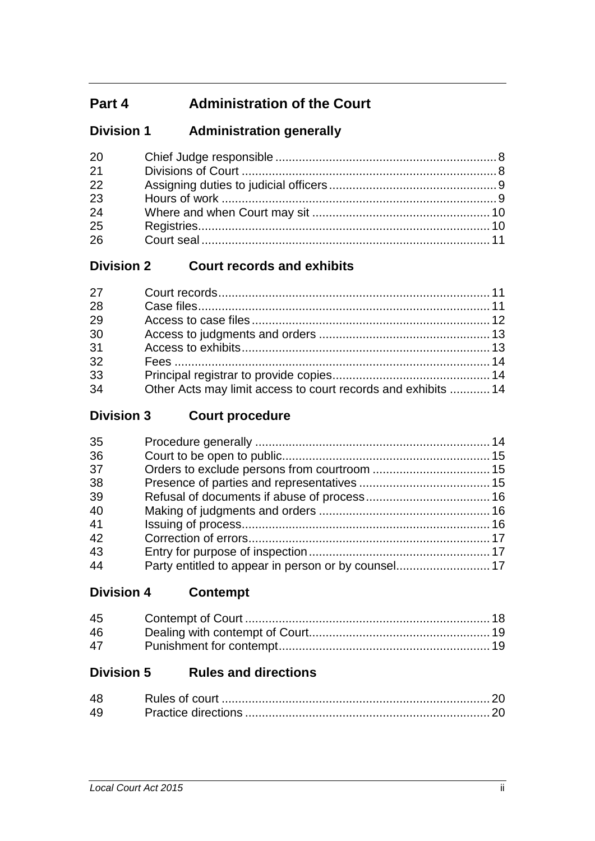# **Part 4 Administration of the Court**

## **Division 1 Administration generally**

| <b>20</b> |  |
|-----------|--|
| 21        |  |
| 22        |  |
| 23        |  |
| 24        |  |
| 25        |  |
| 26        |  |

## **Division 2 Court records and exhibits**

| 27 |                                                               |  |
|----|---------------------------------------------------------------|--|
| 28 |                                                               |  |
| 29 |                                                               |  |
| 30 |                                                               |  |
| 31 |                                                               |  |
| 32 |                                                               |  |
| 33 |                                                               |  |
| 34 | Other Acts may limit access to court records and exhibits  14 |  |

**Division 3 Court procedure**

| 35 |  |
|----|--|
| 36 |  |
| 37 |  |
| 38 |  |
| 39 |  |
| 40 |  |
| 41 |  |
| 42 |  |
| 43 |  |
| 44 |  |
|    |  |

**Division 4 Contempt**

| 45 |  |
|----|--|
| 46 |  |
| 47 |  |

## **Division 5 Rules and directions**

| 48 |  |
|----|--|
| 49 |  |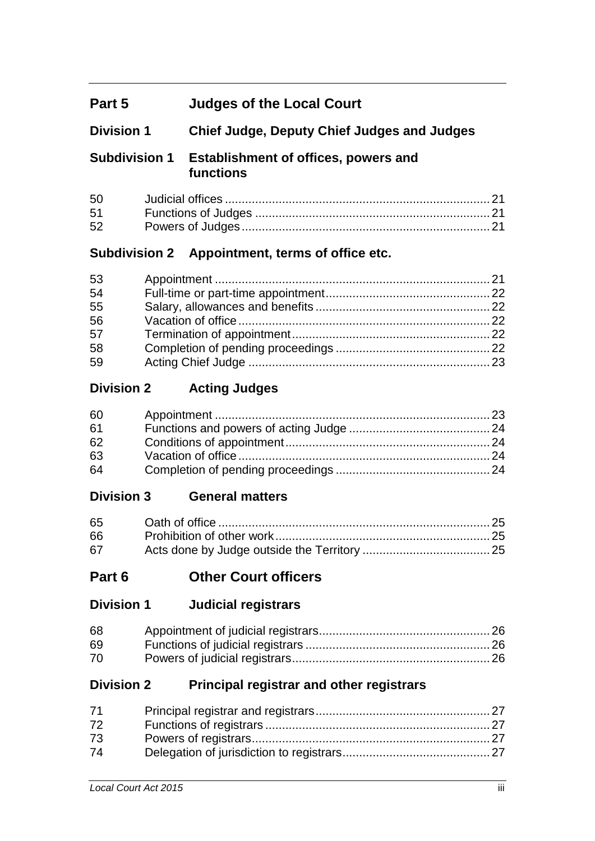# **Part 5 Judges of the Local Court**

## **Division 1 Chief Judge, Deputy Chief Judges and Judges**

## **Subdivision 1 Establishment of offices, powers and functions**

| 51 |  |
|----|--|
| 52 |  |

## **Subdivision 2 Appointment, terms of office etc.**

| 53 |  |
|----|--|
| 54 |  |
| 55 |  |
| 56 |  |
| 57 |  |
| 58 |  |
| 59 |  |

## **Division 2 Acting Judges**

| 60 |  |
|----|--|
| 61 |  |
| 62 |  |
| 63 |  |
| 64 |  |

## **Division 3 General matters**

| 65 |  |
|----|--|
| 66 |  |
| 67 |  |

## **Part 6 Other Court officers**

**Division 1 Judicial registrars**

| 68 |  |
|----|--|
| 69 |  |
| 70 |  |

## **Division 2 Principal registrar and other registrars**

| 71 |  |
|----|--|
| 72 |  |
| 73 |  |
| 74 |  |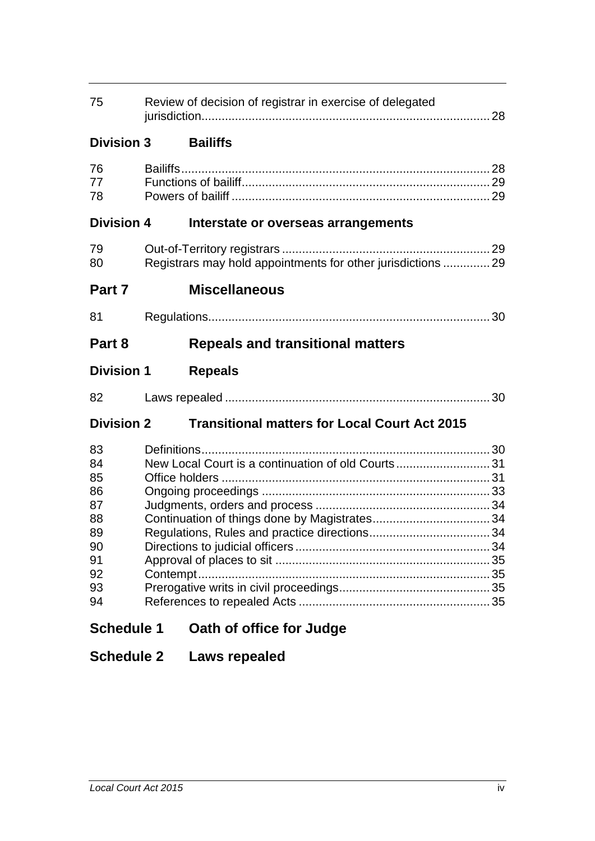| 75                | Review of decision of registrar in exercise of delegated |                                                              |  |
|-------------------|----------------------------------------------------------|--------------------------------------------------------------|--|
| <b>Division 3</b> |                                                          | <b>Bailiffs</b>                                              |  |
| 76<br>77<br>78    |                                                          |                                                              |  |
| <b>Division 4</b> |                                                          | Interstate or overseas arrangements                          |  |
| 79<br>80          |                                                          | Registrars may hold appointments for other jurisdictions  29 |  |
| Part 7            |                                                          | <b>Miscellaneous</b>                                         |  |
| 81                |                                                          |                                                              |  |
| Part 8            |                                                          | <b>Repeals and transitional matters</b>                      |  |
| <b>Division 1</b> |                                                          | <b>Repeals</b>                                               |  |
| 82                |                                                          |                                                              |  |
| <b>Division 2</b> |                                                          | <b>Transitional matters for Local Court Act 2015</b>         |  |
| 83                |                                                          |                                                              |  |
| 84                |                                                          | New Local Court is a continuation of old Courts31            |  |
| 85                |                                                          |                                                              |  |
| 86                |                                                          |                                                              |  |
| 87                |                                                          |                                                              |  |
| 88                |                                                          |                                                              |  |
| 89                |                                                          |                                                              |  |
| 90                |                                                          |                                                              |  |
| 91<br>92          |                                                          |                                                              |  |
| 93                |                                                          |                                                              |  |
| 94                |                                                          |                                                              |  |
| <b>Schedule 1</b> |                                                          | Oath of office for Judge                                     |  |

# **Schedule 2 Laws repealed**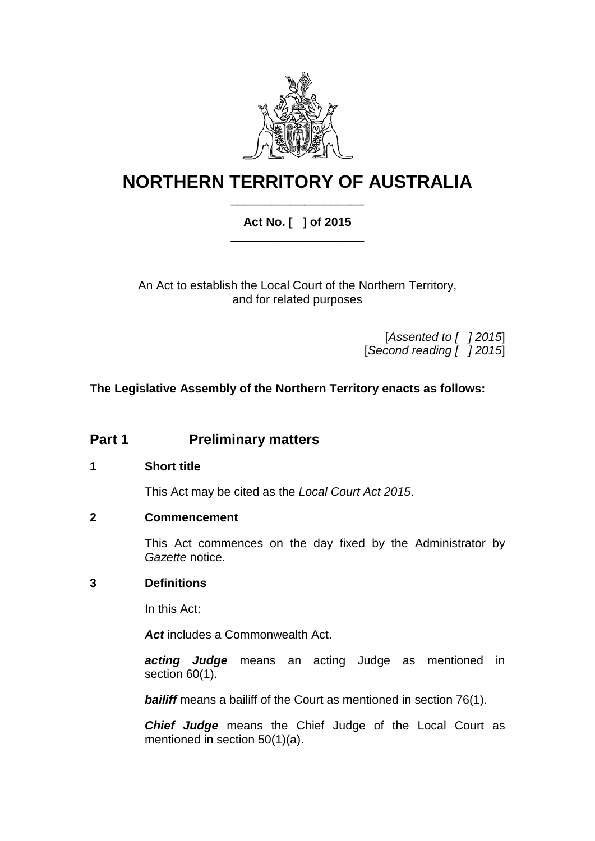

# **NORTHERN TERRITORY OF AUSTRALIA** \_\_\_\_\_\_\_\_\_\_\_\_\_\_\_\_\_\_\_\_

## **Act No. [ ] of 2015** \_\_\_\_\_\_\_\_\_\_\_\_\_\_\_\_\_\_\_\_

An Act to establish the Local Court of the Northern Territory, and for related purposes

> [*Assented to [ ] 2015*] [*Second reading [ ] 2015*]

**The Legislative Assembly of the Northern Territory enacts as follows:**

## **Part 1 Preliminary matters**

#### **1 Short title**

This Act may be cited as the *Local Court Act 2015*.

#### **2 Commencement**

This Act commences on the day fixed by the Administrator by *Gazette* notice.

#### **3 Definitions**

In this Act:

*Act* includes a Commonwealth Act.

*acting Judge* means an acting Judge as mentioned in section [60\(](#page-28-0)1).

**bailiff** means a bailiff of the Court as mentioned in section [76\(](#page-33-0)1).

*Chief Judge* means the Chief Judge of the Local Court as mentioned in section [50\(](#page-26-0)1)(a).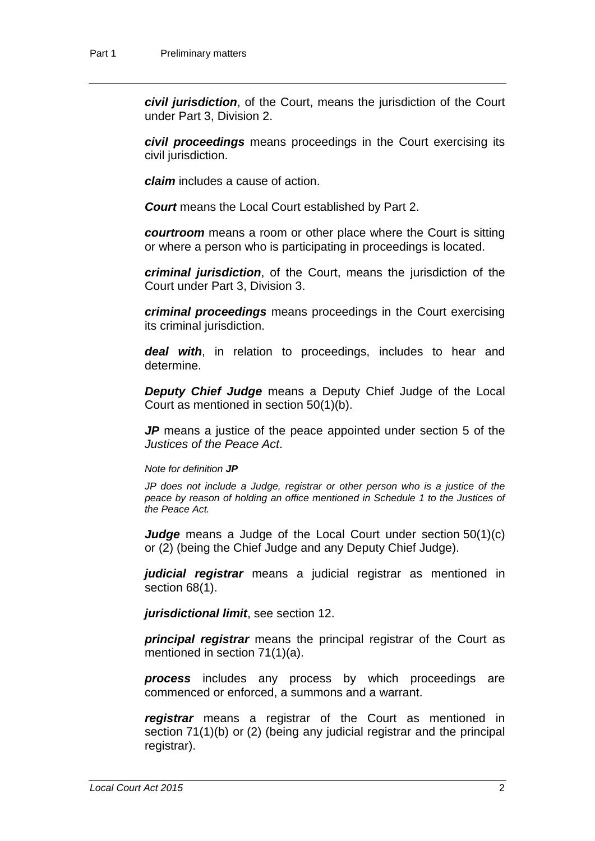*civil jurisdiction*, of the Court, means the jurisdiction of the Court under Part 3, Division 2.

*civil proceedings* means proceedings in the Court exercising its civil jurisdiction.

*claim* includes a cause of action.

*Court* means the Local Court established by Part 2.

*courtroom* means a room or other place where the Court is sitting or where a person who is participating in proceedings is located.

*criminal jurisdiction*, of the Court, means the jurisdiction of the Court under Part 3, Division 3.

*criminal proceedings* means proceedings in the Court exercising its criminal jurisdiction.

*deal with*, in relation to proceedings, includes to hear and determine.

*Deputy Chief Judge* means a Deputy Chief Judge of the Local Court as mentioned in section [50\(](#page-26-0)1)(b).

*JP* means a justice of the peace appointed under section 5 of the *Justices of the Peace Act*.

#### *Note for definition JP*

*JP does not include a Judge, registrar or other person who is a justice of the peace by reason of holding an office mentioned in Schedule 1 to the Justices of the Peace Act.*

*Judge* means a Judge of the Local Court under section [50\(](#page-26-0)1)(c) or (2) (being the Chief Judge and any Deputy Chief Judge).

*judicial registrar* means a judicial registrar as mentioned in section [68\(](#page-31-0)1).

*jurisdictional limit*, see section [12.](#page-10-0)

*principal registrar* means the principal registrar of the Court as mentioned in section [71\(](#page-32-0)1)(a).

*process* includes any process by which proceedings are commenced or enforced, a summons and a warrant.

*registrar* means a registrar of the Court as mentioned in section [71\(](#page-32-0)1)(b) or (2) (being any judicial registrar and the principal registrar).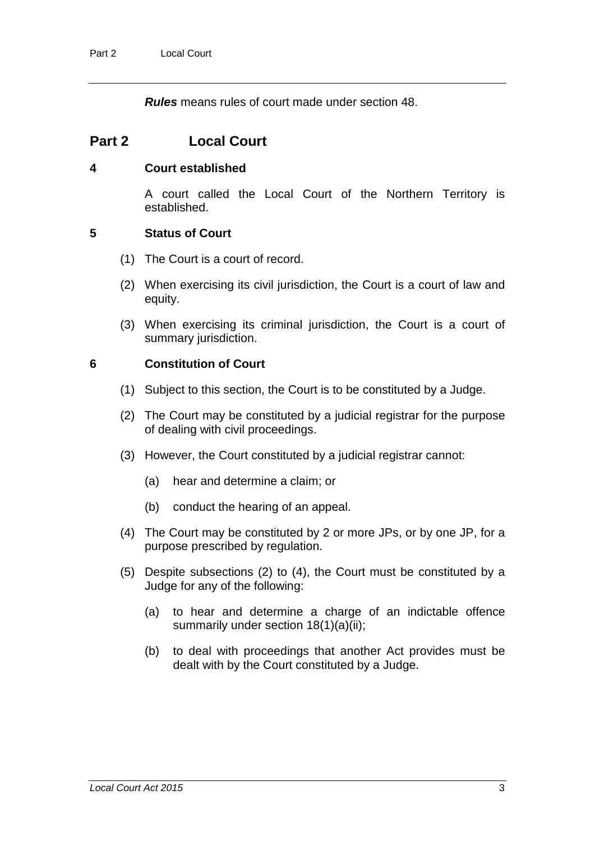*Rules* means rules of court made under section [48.](#page-25-0)

## **Part 2 Local Court**

#### <span id="page-8-1"></span>**4 Court established**

A court called the Local Court of the Northern Territory is established.

#### **5 Status of Court**

- (1) The Court is a court of record.
- (2) When exercising its civil jurisdiction, the Court is a court of law and equity.
- (3) When exercising its criminal jurisdiction, the Court is a court of summary jurisdiction.

#### <span id="page-8-0"></span>**6 Constitution of Court**

- (1) Subject to this section, the Court is to be constituted by a Judge.
- (2) The Court may be constituted by a judicial registrar for the purpose of dealing with civil proceedings.
- (3) However, the Court constituted by a judicial registrar cannot:
	- (a) hear and determine a claim; or
	- (b) conduct the hearing of an appeal.
- (4) The Court may be constituted by 2 or more JPs, or by one JP, for a purpose prescribed by regulation.
- (5) Despite subsections (2) to (4), the Court must be constituted by a Judge for any of the following:
	- (a) to hear and determine a charge of an indictable offence summarily under section [18\(](#page-12-0)1)(a)(ii);
	- (b) to deal with proceedings that another Act provides must be dealt with by the Court constituted by a Judge.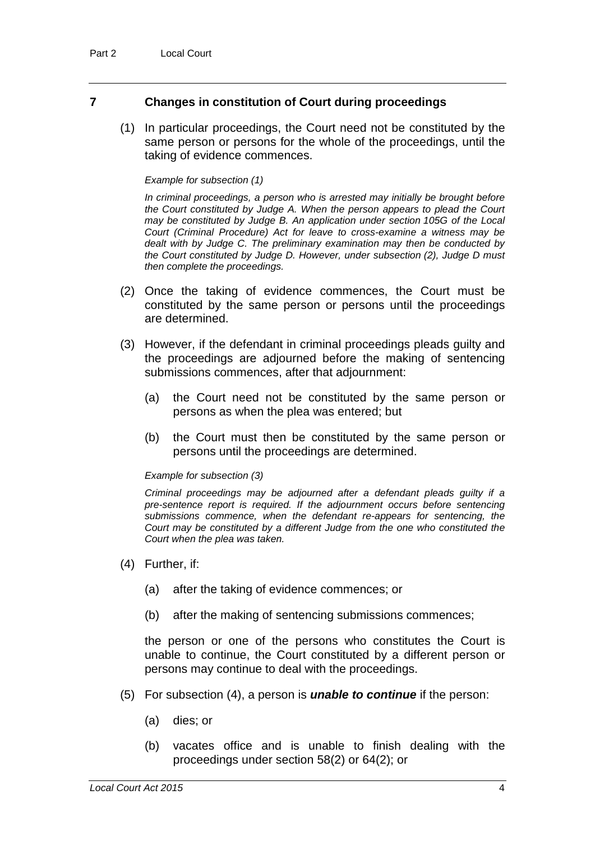#### **7 Changes in constitution of Court during proceedings**

(1) In particular proceedings, the Court need not be constituted by the same person or persons for the whole of the proceedings, until the taking of evidence commences.

#### *Example for subsection (1)*

*In criminal proceedings, a person who is arrested may initially be brought before the Court constituted by Judge A. When the person appears to plead the Court may be constituted by Judge B. An application under section 105G of the Local Court (Criminal Procedure) Act for leave to cross-examine a witness may be dealt with by Judge C. The preliminary examination may then be conducted by the Court constituted by Judge D. However, under subsection (2), Judge D must then complete the proceedings.*

- (2) Once the taking of evidence commences, the Court must be constituted by the same person or persons until the proceedings are determined.
- (3) However, if the defendant in criminal proceedings pleads guilty and the proceedings are adjourned before the making of sentencing submissions commences, after that adjournment:
	- (a) the Court need not be constituted by the same person or persons as when the plea was entered; but
	- (b) the Court must then be constituted by the same person or persons until the proceedings are determined.

#### *Example for subsection (3)*

*Criminal proceedings may be adjourned after a defendant pleads guilty if a pre-sentence report is required. If the adjournment occurs before sentencing submissions commence, when the defendant re-appears for sentencing, the Court may be constituted by a different Judge from the one who constituted the Court when the plea was taken.*

- (4) Further, if:
	- (a) after the taking of evidence commences; or
	- (b) after the making of sentencing submissions commences;

the person or one of the persons who constitutes the Court is unable to continue, the Court constituted by a different person or persons may continue to deal with the proceedings.

- (5) For subsection (4), a person is *unable to continue* if the person:
	- (a) dies; or
	- (b) vacates office and is unable to finish dealing with the proceedings under section [58\(](#page-27-0)2) or [64\(](#page-29-0)2); or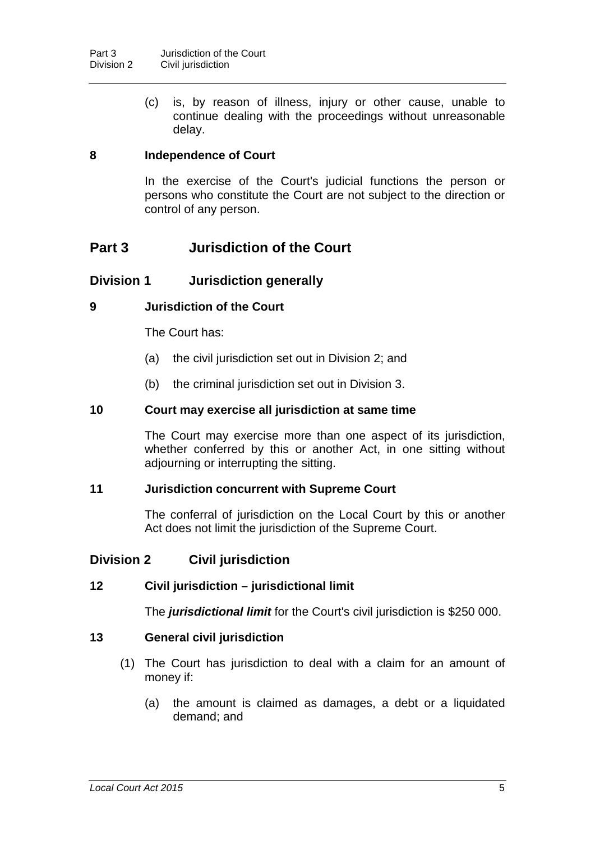(c) is, by reason of illness, injury or other cause, unable to continue dealing with the proceedings without unreasonable delay.

#### **8 Independence of Court**

In the exercise of the Court's judicial functions the person or persons who constitute the Court are not subject to the direction or control of any person.

## **Part 3 Jurisdiction of the Court**

#### **Division 1 Jurisdiction generally**

#### **9 Jurisdiction of the Court**

The Court has:

- (a) the civil jurisdiction set out in Division 2; and
- (b) the criminal jurisdiction set out in Division 3.

#### **10 Court may exercise all jurisdiction at same time**

The Court may exercise more than one aspect of its jurisdiction, whether conferred by this or another Act, in one sitting without adjourning or interrupting the sitting.

#### **11 Jurisdiction concurrent with Supreme Court**

The conferral of jurisdiction on the Local Court by this or another Act does not limit the jurisdiction of the Supreme Court.

#### **Division 2 Civil jurisdiction**

#### <span id="page-10-0"></span>**12 Civil jurisdiction – jurisdictional limit**

The *jurisdictional limit* for the Court's civil jurisdiction is \$250 000.

#### <span id="page-10-1"></span>**13 General civil jurisdiction**

- (1) The Court has jurisdiction to deal with a claim for an amount of money if:
	- (a) the amount is claimed as damages, a debt or a liquidated demand; and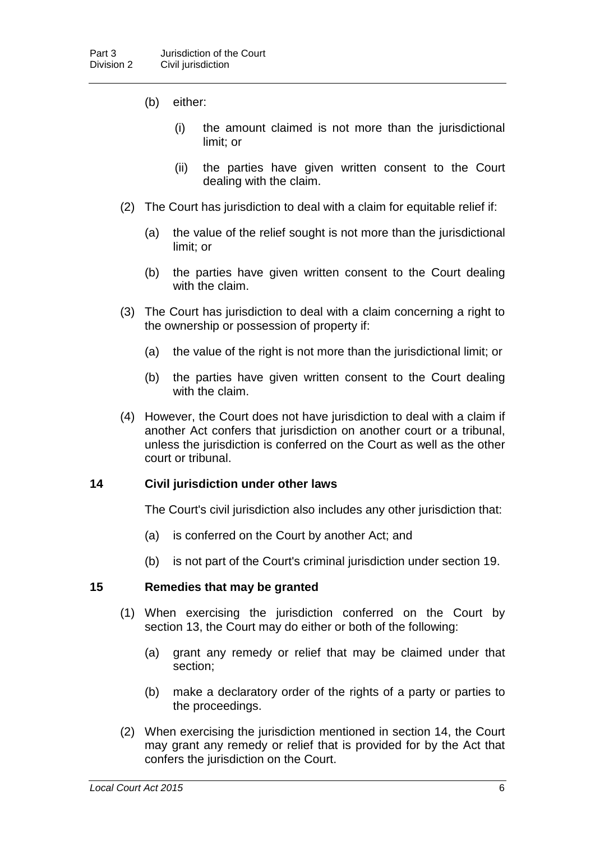- (b) either:
	- (i) the amount claimed is not more than the jurisdictional limit; or
	- (ii) the parties have given written consent to the Court dealing with the claim.
- (2) The Court has jurisdiction to deal with a claim for equitable relief if:
	- (a) the value of the relief sought is not more than the jurisdictional limit; or
	- (b) the parties have given written consent to the Court dealing with the claim.
- (3) The Court has jurisdiction to deal with a claim concerning a right to the ownership or possession of property if:
	- (a) the value of the right is not more than the jurisdictional limit; or
	- (b) the parties have given written consent to the Court dealing with the claim.
- (4) However, the Court does not have jurisdiction to deal with a claim if another Act confers that jurisdiction on another court or a tribunal, unless the jurisdiction is conferred on the Court as well as the other court or tribunal.

#### <span id="page-11-0"></span>**14 Civil jurisdiction under other laws**

The Court's civil jurisdiction also includes any other jurisdiction that:

- (a) is conferred on the Court by another Act; and
- (b) is not part of the Court's criminal jurisdiction under section [19.](#page-13-0)

#### **15 Remedies that may be granted**

- (1) When exercising the jurisdiction conferred on the Court by section [13,](#page-10-1) the Court may do either or both of the following:
	- (a) grant any remedy or relief that may be claimed under that section;
	- (b) make a declaratory order of the rights of a party or parties to the proceedings.
- (2) When exercising the jurisdiction mentioned in section [14,](#page-11-0) the Court may grant any remedy or relief that is provided for by the Act that confers the jurisdiction on the Court.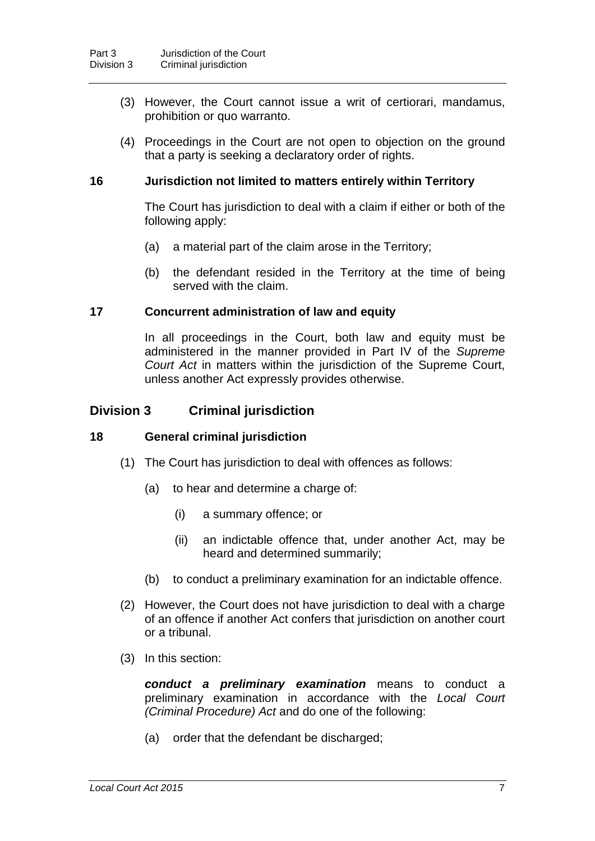- (3) However, the Court cannot issue a writ of certiorari, mandamus, prohibition or quo warranto.
- (4) Proceedings in the Court are not open to objection on the ground that a party is seeking a declaratory order of rights.

#### **16 Jurisdiction not limited to matters entirely within Territory**

The Court has jurisdiction to deal with a claim if either or both of the following apply:

- (a) a material part of the claim arose in the Territory;
- (b) the defendant resided in the Territory at the time of being served with the claim.

#### **17 Concurrent administration of law and equity**

In all proceedings in the Court, both law and equity must be administered in the manner provided in Part IV of the *Supreme Court Act* in matters within the jurisdiction of the Supreme Court, unless another Act expressly provides otherwise.

#### **Division 3 Criminal jurisdiction**

#### <span id="page-12-0"></span>**18 General criminal jurisdiction**

- (1) The Court has jurisdiction to deal with offences as follows:
	- (a) to hear and determine a charge of:
		- (i) a summary offence; or
		- (ii) an indictable offence that, under another Act, may be heard and determined summarily;
	- (b) to conduct a preliminary examination for an indictable offence.
- (2) However, the Court does not have jurisdiction to deal with a charge of an offence if another Act confers that jurisdiction on another court or a tribunal.
- (3) In this section:

*conduct a preliminary examination* means to conduct a preliminary examination in accordance with the *Local Court (Criminal Procedure) Act* and do one of the following:

(a) order that the defendant be discharged;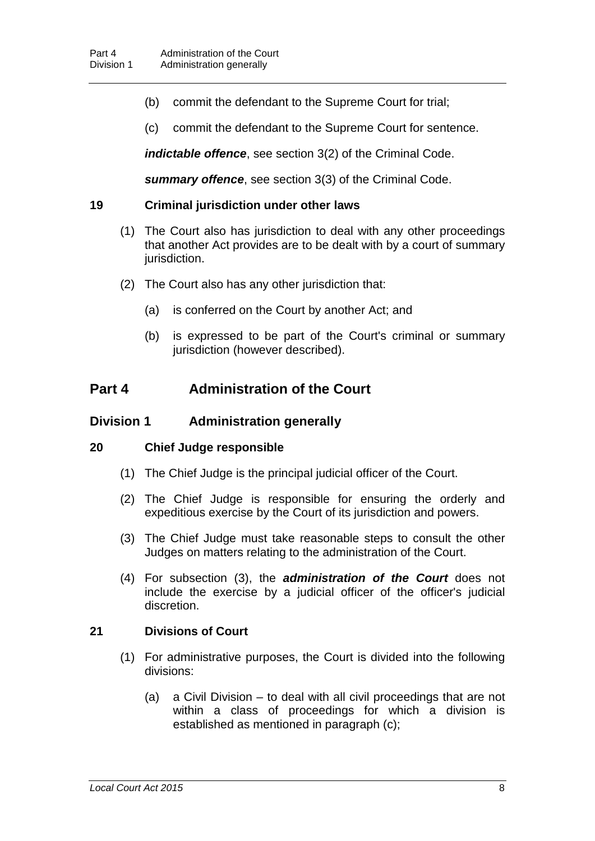- (b) commit the defendant to the Supreme Court for trial;
- (c) commit the defendant to the Supreme Court for sentence.

*indictable offence*, see section 3(2) of the Criminal Code.

*summary offence*, see section 3(3) of the Criminal Code.

#### <span id="page-13-0"></span>**19 Criminal jurisdiction under other laws**

- (1) The Court also has jurisdiction to deal with any other proceedings that another Act provides are to be dealt with by a court of summary jurisdiction.
- (2) The Court also has any other jurisdiction that:
	- (a) is conferred on the Court by another Act; and
	- (b) is expressed to be part of the Court's criminal or summary jurisdiction (however described).

## **Part 4 Administration of the Court**

#### **Division 1 Administration generally**

#### **20 Chief Judge responsible**

- (1) The Chief Judge is the principal judicial officer of the Court.
- (2) The Chief Judge is responsible for ensuring the orderly and expeditious exercise by the Court of its jurisdiction and powers.
- (3) The Chief Judge must take reasonable steps to consult the other Judges on matters relating to the administration of the Court.
- (4) For subsection (3), the *administration of the Court* does not include the exercise by a judicial officer of the officer's judicial discretion.

#### **21 Divisions of Court**

- (1) For administrative purposes, the Court is divided into the following divisions:
	- (a) a Civil Division to deal with all civil proceedings that are not within a class of proceedings for which a division is established as mentioned in paragraph (c);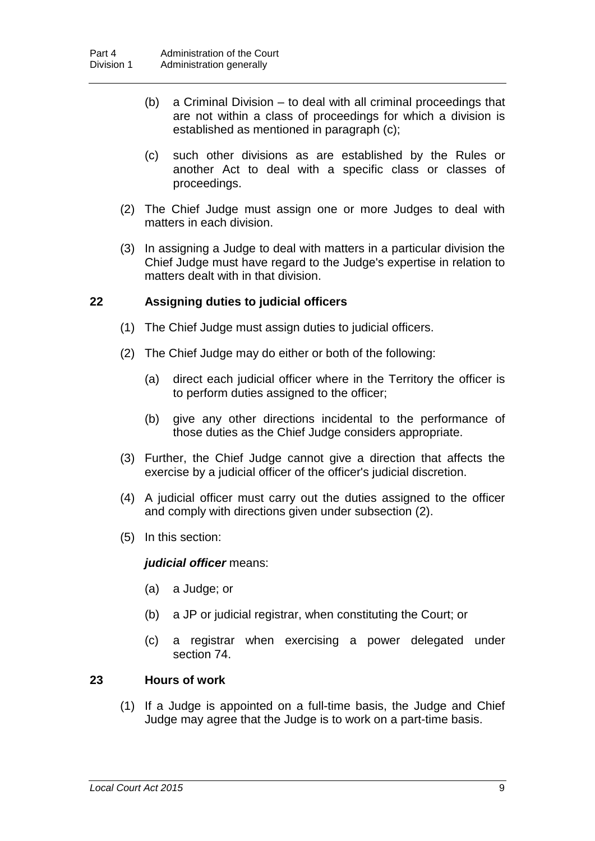- (b) a Criminal Division to deal with all criminal proceedings that are not within a class of proceedings for which a division is established as mentioned in paragraph (c);
- (c) such other divisions as are established by the Rules or another Act to deal with a specific class or classes of proceedings.
- (2) The Chief Judge must assign one or more Judges to deal with matters in each division.
- (3) In assigning a Judge to deal with matters in a particular division the Chief Judge must have regard to the Judge's expertise in relation to matters dealt with in that division.

#### <span id="page-14-0"></span>**22 Assigning duties to judicial officers**

- (1) The Chief Judge must assign duties to judicial officers.
- (2) The Chief Judge may do either or both of the following:
	- (a) direct each judicial officer where in the Territory the officer is to perform duties assigned to the officer;
	- (b) give any other directions incidental to the performance of those duties as the Chief Judge considers appropriate.
- (3) Further, the Chief Judge cannot give a direction that affects the exercise by a judicial officer of the officer's judicial discretion.
- (4) A judicial officer must carry out the duties assigned to the officer and comply with directions given under subsection (2).
- (5) In this section:

#### *judicial officer* means:

- (a) a Judge; or
- (b) a JP or judicial registrar, when constituting the Court; or
- (c) a registrar when exercising a power delegated under section [74.](#page-32-1)

#### **23 Hours of work**

(1) If a Judge is appointed on a full-time basis, the Judge and Chief Judge may agree that the Judge is to work on a part-time basis.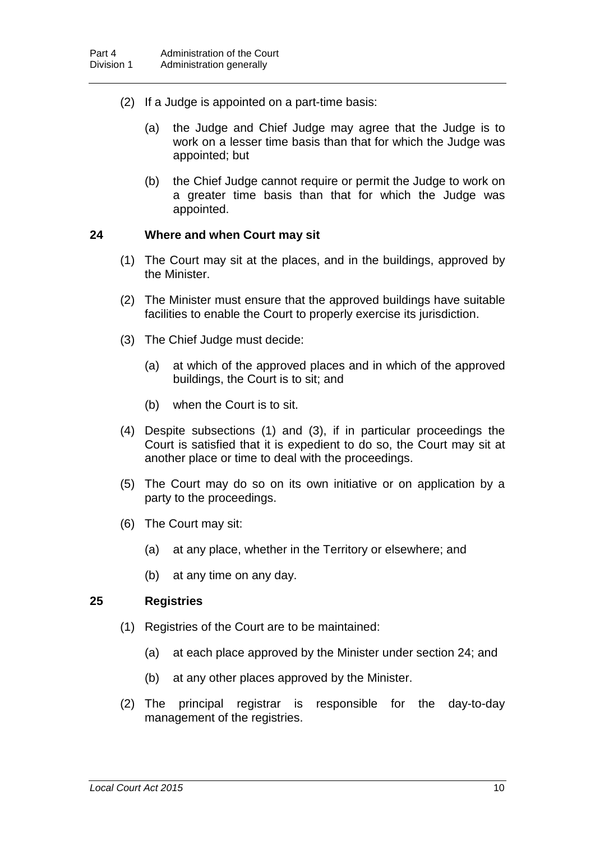- (2) If a Judge is appointed on a part-time basis:
	- (a) the Judge and Chief Judge may agree that the Judge is to work on a lesser time basis than that for which the Judge was appointed; but
	- (b) the Chief Judge cannot require or permit the Judge to work on a greater time basis than that for which the Judge was appointed.

#### <span id="page-15-0"></span>**24 Where and when Court may sit**

- (1) The Court may sit at the places, and in the buildings, approved by the Minister.
- (2) The Minister must ensure that the approved buildings have suitable facilities to enable the Court to properly exercise its jurisdiction.
- (3) The Chief Judge must decide:
	- (a) at which of the approved places and in which of the approved buildings, the Court is to sit; and
	- (b) when the Court is to sit.
- (4) Despite subsections (1) and (3), if in particular proceedings the Court is satisfied that it is expedient to do so, the Court may sit at another place or time to deal with the proceedings.
- (5) The Court may do so on its own initiative or on application by a party to the proceedings.
- (6) The Court may sit:
	- (a) at any place, whether in the Territory or elsewhere; and
	- (b) at any time on any day.

#### **25 Registries**

- (1) Registries of the Court are to be maintained:
	- (a) at each place approved by the Minister under section [24;](#page-15-0) and
	- (b) at any other places approved by the Minister.
- (2) The principal registrar is responsible for the day-to-day management of the registries.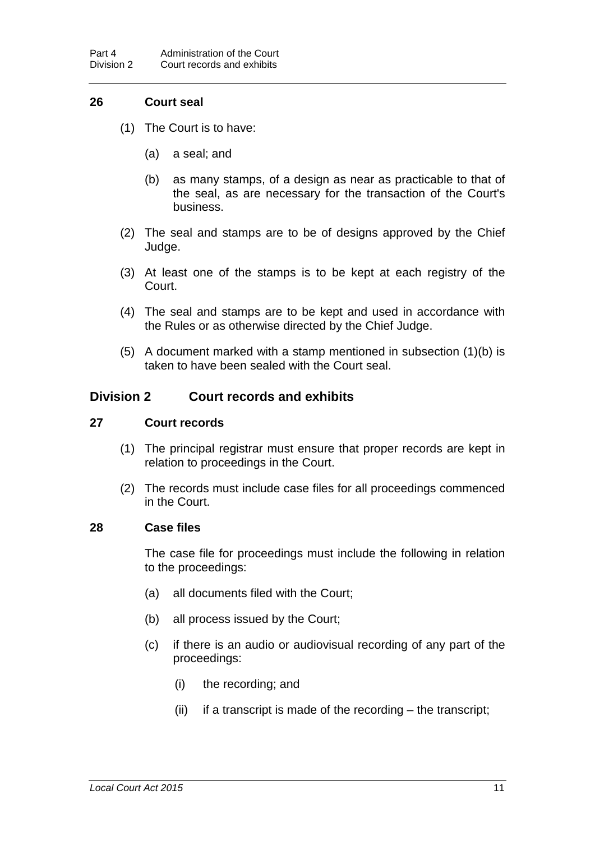#### **26 Court seal**

- (1) The Court is to have:
	- (a) a seal; and
	- (b) as many stamps, of a design as near as practicable to that of the seal, as are necessary for the transaction of the Court's business.
- (2) The seal and stamps are to be of designs approved by the Chief Judge.
- (3) At least one of the stamps is to be kept at each registry of the Court.
- (4) The seal and stamps are to be kept and used in accordance with the Rules or as otherwise directed by the Chief Judge.
- (5) A document marked with a stamp mentioned in subsection (1)(b) is taken to have been sealed with the Court seal.

#### **Division 2 Court records and exhibits**

#### **27 Court records**

- (1) The principal registrar must ensure that proper records are kept in relation to proceedings in the Court.
- (2) The records must include case files for all proceedings commenced in the Court.

#### <span id="page-16-0"></span>**28 Case files**

The case file for proceedings must include the following in relation to the proceedings:

- (a) all documents filed with the Court;
- (b) all process issued by the Court;
- (c) if there is an audio or audiovisual recording of any part of the proceedings:
	- (i) the recording; and
	- (ii) if a transcript is made of the recording the transcript;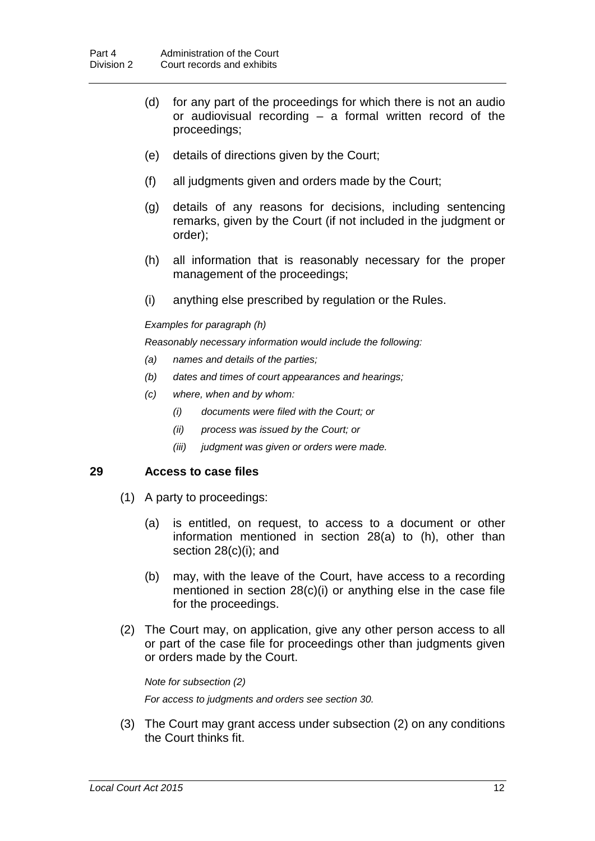- (d) for any part of the proceedings for which there is not an audio or audiovisual recording – a formal written record of the proceedings;
- (e) details of directions given by the Court;
- (f) all judgments given and orders made by the Court;
- (g) details of any reasons for decisions, including sentencing remarks, given by the Court (if not included in the judgment or order);
- (h) all information that is reasonably necessary for the proper management of the proceedings;
- (i) anything else prescribed by regulation or the Rules.

#### *Examples for paragraph (h)*

*Reasonably necessary information would include the following:*

- *(a) names and details of the parties;*
- *(b) dates and times of court appearances and hearings;*
- *(c) where, when and by whom:*
	- *(i) documents were filed with the Court; or*
	- *(ii) process was issued by the Court; or*
	- *(iii) judgment was given or orders were made.*

#### <span id="page-17-0"></span>**29 Access to case files**

- (1) A party to proceedings:
	- (a) is entitled, on request, to access to a document or other information mentioned in section [28\(](#page-16-0)a) to (h), other than section [28\(](#page-16-0)c)(i); and
	- (b) may, with the leave of the Court, have access to a recording mentioned in section [28\(](#page-16-0)c)(i) or anything else in the case file for the proceedings.
- (2) The Court may, on application, give any other person access to all or part of the case file for proceedings other than judgments given or orders made by the Court.

```
Note for subsection (2)
For access to judgments and orders see section 30.
```
(3) The Court may grant access under subsection (2) on any conditions the Court thinks fit.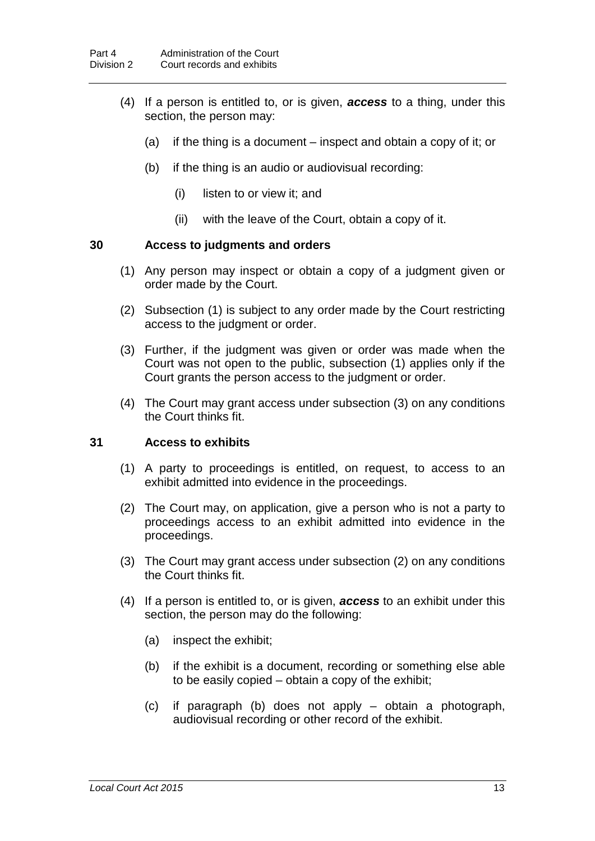- (4) If a person is entitled to, or is given, *access* to a thing, under this section, the person may:
	- (a) if the thing is a document inspect and obtain a copy of it; or
	- (b) if the thing is an audio or audiovisual recording:
		- (i) listen to or view it; and
		- (ii) with the leave of the Court, obtain a copy of it.

#### <span id="page-18-0"></span>**30 Access to judgments and orders**

- (1) Any person may inspect or obtain a copy of a judgment given or order made by the Court.
- (2) Subsection (1) is subject to any order made by the Court restricting access to the judgment or order.
- (3) Further, if the judgment was given or order was made when the Court was not open to the public, subsection (1) applies only if the Court grants the person access to the judgment or order.
- (4) The Court may grant access under subsection (3) on any conditions the Court thinks fit.

#### <span id="page-18-1"></span>**31 Access to exhibits**

- (1) A party to proceedings is entitled, on request, to access to an exhibit admitted into evidence in the proceedings.
- (2) The Court may, on application, give a person who is not a party to proceedings access to an exhibit admitted into evidence in the proceedings.
- (3) The Court may grant access under subsection (2) on any conditions the Court thinks fit.
- (4) If a person is entitled to, or is given, *access* to an exhibit under this section, the person may do the following:
	- (a) inspect the exhibit;
	- (b) if the exhibit is a document, recording or something else able to be easily copied – obtain a copy of the exhibit;
	- (c) if paragraph (b) does not apply obtain a photograph, audiovisual recording or other record of the exhibit.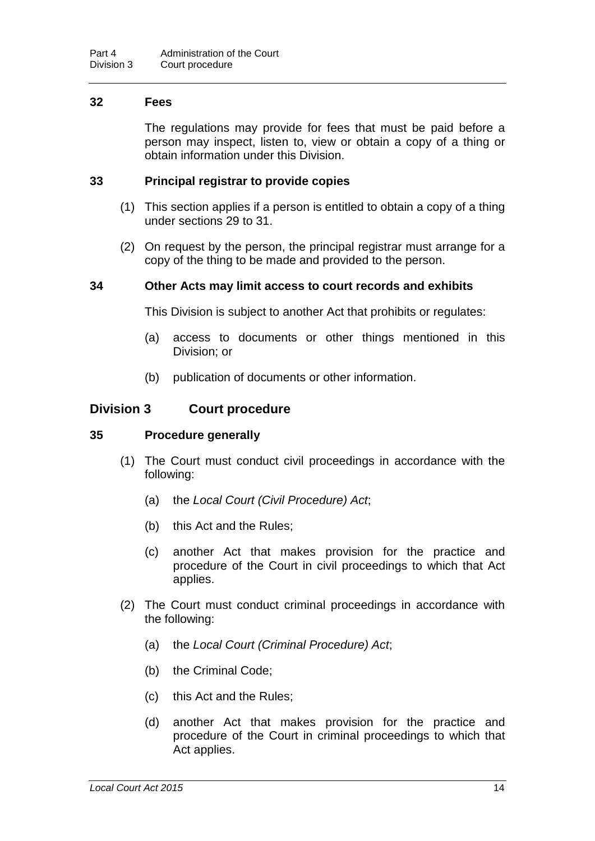#### **32 Fees**

The regulations may provide for fees that must be paid before a person may inspect, listen to, view or obtain a copy of a thing or obtain information under this Division.

#### **33 Principal registrar to provide copies**

- (1) This section applies if a person is entitled to obtain a copy of a thing under sections [29](#page-17-0) to [31.](#page-18-1)
- (2) On request by the person, the principal registrar must arrange for a copy of the thing to be made and provided to the person.

#### **34 Other Acts may limit access to court records and exhibits**

This Division is subject to another Act that prohibits or regulates:

- (a) access to documents or other things mentioned in this Division; or
- (b) publication of documents or other information.

#### **Division 3 Court procedure**

#### **35 Procedure generally**

- (1) The Court must conduct civil proceedings in accordance with the following:
	- (a) the *Local Court (Civil Procedure) Act*;
	- (b) this Act and the Rules;
	- (c) another Act that makes provision for the practice and procedure of the Court in civil proceedings to which that Act applies.
- (2) The Court must conduct criminal proceedings in accordance with the following:
	- (a) the *Local Court (Criminal Procedure) Act*;
	- (b) the Criminal Code;
	- (c) this Act and the Rules;
	- (d) another Act that makes provision for the practice and procedure of the Court in criminal proceedings to which that Act applies.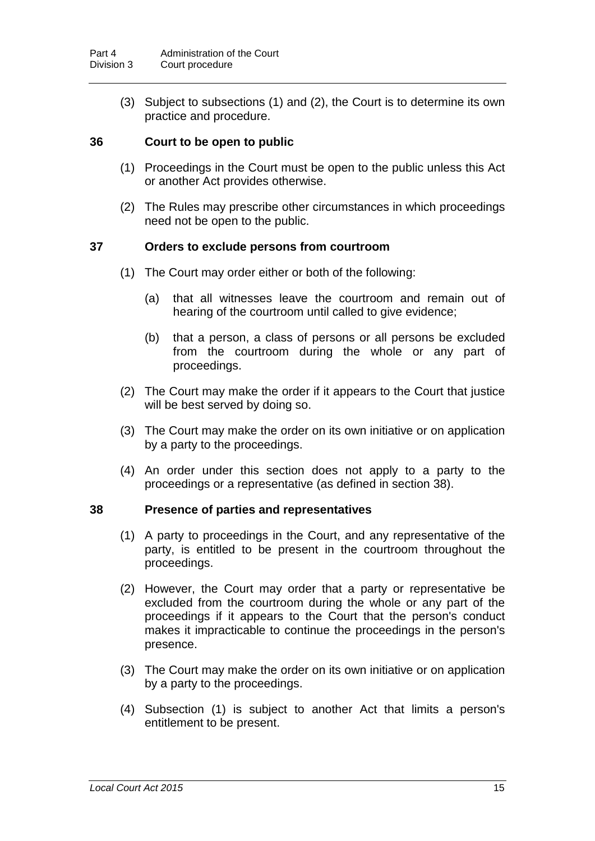(3) Subject to subsections (1) and (2), the Court is to determine its own practice and procedure.

#### **36 Court to be open to public**

- (1) Proceedings in the Court must be open to the public unless this Act or another Act provides otherwise.
- (2) The Rules may prescribe other circumstances in which proceedings need not be open to the public.

#### **37 Orders to exclude persons from courtroom**

- (1) The Court may order either or both of the following:
	- (a) that all witnesses leave the courtroom and remain out of hearing of the courtroom until called to give evidence;
	- (b) that a person, a class of persons or all persons be excluded from the courtroom during the whole or any part of proceedings.
- (2) The Court may make the order if it appears to the Court that justice will be best served by doing so.
- (3) The Court may make the order on its own initiative or on application by a party to the proceedings.
- (4) An order under this section does not apply to a party to the proceedings or a representative (as defined in section [38\)](#page-20-0).

#### <span id="page-20-0"></span>**38 Presence of parties and representatives**

- (1) A party to proceedings in the Court, and any representative of the party, is entitled to be present in the courtroom throughout the proceedings.
- (2) However, the Court may order that a party or representative be excluded from the courtroom during the whole or any part of the proceedings if it appears to the Court that the person's conduct makes it impracticable to continue the proceedings in the person's presence.
- (3) The Court may make the order on its own initiative or on application by a party to the proceedings.
- (4) Subsection (1) is subject to another Act that limits a person's entitlement to be present.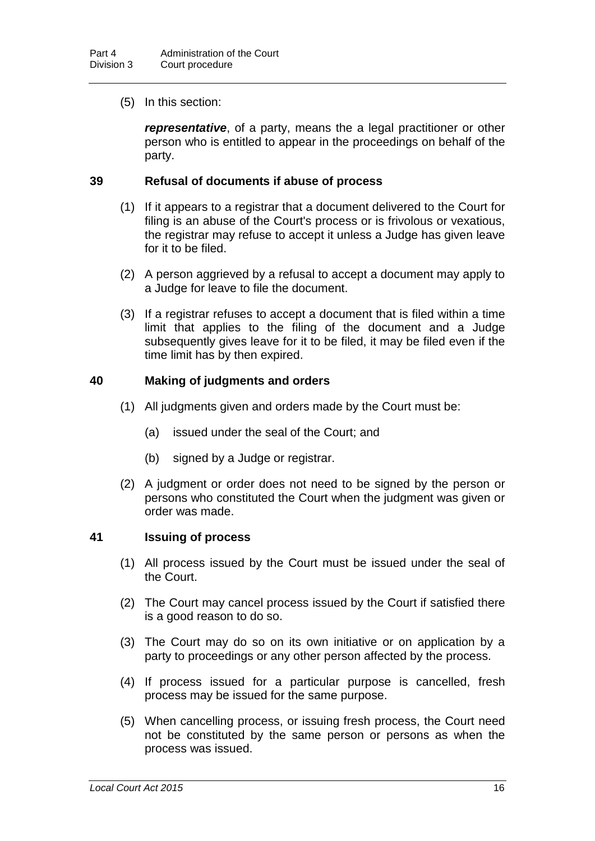(5) In this section:

*representative*, of a party, means the a legal practitioner or other person who is entitled to appear in the proceedings on behalf of the party.

#### **39 Refusal of documents if abuse of process**

- (1) If it appears to a registrar that a document delivered to the Court for filing is an abuse of the Court's process or is frivolous or vexatious, the registrar may refuse to accept it unless a Judge has given leave for it to be filed.
- (2) A person aggrieved by a refusal to accept a document may apply to a Judge for leave to file the document.
- (3) If a registrar refuses to accept a document that is filed within a time limit that applies to the filing of the document and a Judge subsequently gives leave for it to be filed, it may be filed even if the time limit has by then expired.

#### **40 Making of judgments and orders**

- (1) All judgments given and orders made by the Court must be:
	- (a) issued under the seal of the Court; and
	- (b) signed by a Judge or registrar.
- (2) A judgment or order does not need to be signed by the person or persons who constituted the Court when the judgment was given or order was made.

#### **41 Issuing of process**

- (1) All process issued by the Court must be issued under the seal of the Court.
- (2) The Court may cancel process issued by the Court if satisfied there is a good reason to do so.
- (3) The Court may do so on its own initiative or on application by a party to proceedings or any other person affected by the process.
- (4) If process issued for a particular purpose is cancelled, fresh process may be issued for the same purpose.
- (5) When cancelling process, or issuing fresh process, the Court need not be constituted by the same person or persons as when the process was issued.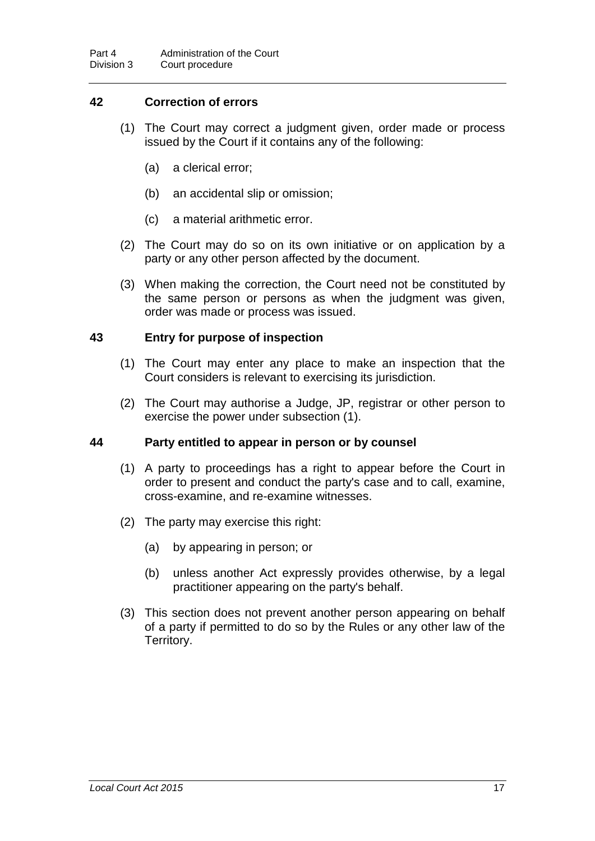#### **42 Correction of errors**

- (1) The Court may correct a judgment given, order made or process issued by the Court if it contains any of the following:
	- (a) a clerical error;
	- (b) an accidental slip or omission;
	- (c) a material arithmetic error.
- (2) The Court may do so on its own initiative or on application by a party or any other person affected by the document.
- (3) When making the correction, the Court need not be constituted by the same person or persons as when the judgment was given, order was made or process was issued.

#### **43 Entry for purpose of inspection**

- (1) The Court may enter any place to make an inspection that the Court considers is relevant to exercising its jurisdiction.
- (2) The Court may authorise a Judge, JP, registrar or other person to exercise the power under subsection (1).

#### **44 Party entitled to appear in person or by counsel**

- (1) A party to proceedings has a right to appear before the Court in order to present and conduct the party's case and to call, examine, cross-examine, and re-examine witnesses.
- (2) The party may exercise this right:
	- (a) by appearing in person; or
	- (b) unless another Act expressly provides otherwise, by a legal practitioner appearing on the party's behalf.
- (3) This section does not prevent another person appearing on behalf of a party if permitted to do so by the Rules or any other law of the Territory.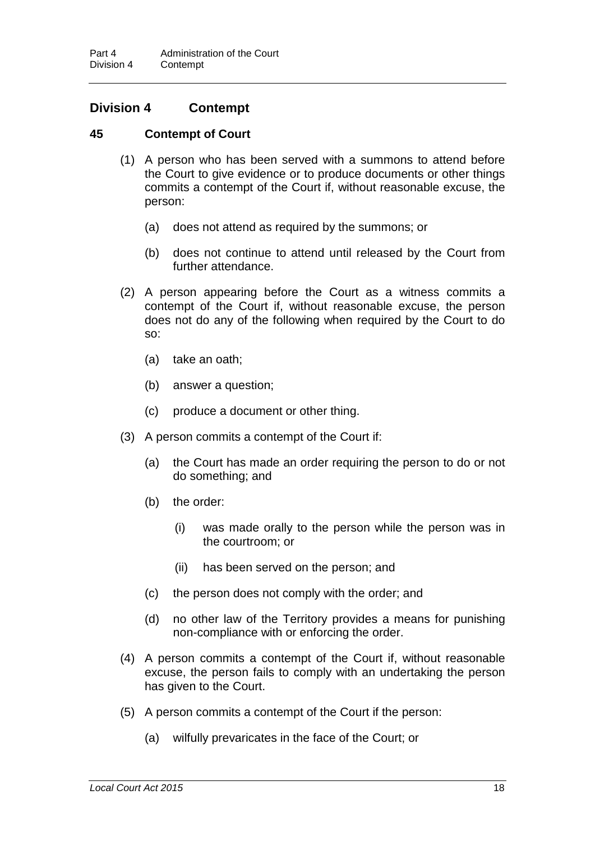#### **Division 4 Contempt**

#### **45 Contempt of Court**

- (1) A person who has been served with a summons to attend before the Court to give evidence or to produce documents or other things commits a contempt of the Court if, without reasonable excuse, the person:
	- (a) does not attend as required by the summons; or
	- (b) does not continue to attend until released by the Court from further attendance.
- (2) A person appearing before the Court as a witness commits a contempt of the Court if, without reasonable excuse, the person does not do any of the following when required by the Court to do so:
	- (a) take an oath;
	- (b) answer a question;
	- (c) produce a document or other thing.
- (3) A person commits a contempt of the Court if:
	- (a) the Court has made an order requiring the person to do or not do something; and
	- (b) the order:
		- (i) was made orally to the person while the person was in the courtroom; or
		- (ii) has been served on the person; and
	- (c) the person does not comply with the order; and
	- (d) no other law of the Territory provides a means for punishing non-compliance with or enforcing the order.
- (4) A person commits a contempt of the Court if, without reasonable excuse, the person fails to comply with an undertaking the person has given to the Court.
- (5) A person commits a contempt of the Court if the person:
	- (a) wilfully prevaricates in the face of the Court; or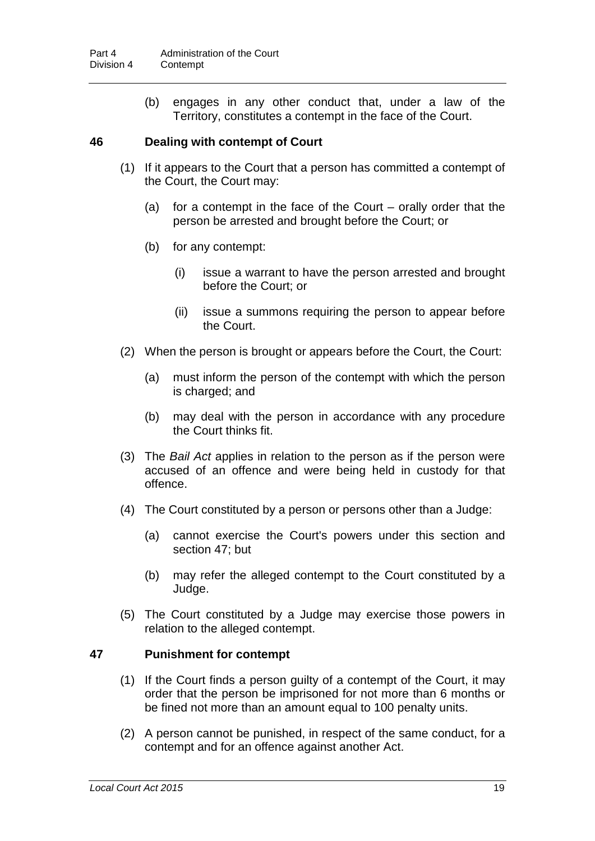(b) engages in any other conduct that, under a law of the Territory, constitutes a contempt in the face of the Court.

#### **46 Dealing with contempt of Court**

- (1) If it appears to the Court that a person has committed a contempt of the Court, the Court may:
	- (a) for a contempt in the face of the Court orally order that the person be arrested and brought before the Court; or
	- (b) for any contempt:
		- (i) issue a warrant to have the person arrested and brought before the Court; or
		- (ii) issue a summons requiring the person to appear before the Court.
- (2) When the person is brought or appears before the Court, the Court:
	- (a) must inform the person of the contempt with which the person is charged; and
	- (b) may deal with the person in accordance with any procedure the Court thinks fit.
- (3) The *Bail Act* applies in relation to the person as if the person were accused of an offence and were being held in custody for that offence.
- (4) The Court constituted by a person or persons other than a Judge:
	- (a) cannot exercise the Court's powers under this section and section [47;](#page-24-0) but
	- (b) may refer the alleged contempt to the Court constituted by a Judge.
- (5) The Court constituted by a Judge may exercise those powers in relation to the alleged contempt.

#### <span id="page-24-0"></span>**47 Punishment for contempt**

- (1) If the Court finds a person guilty of a contempt of the Court, it may order that the person be imprisoned for not more than 6 months or be fined not more than an amount equal to 100 penalty units.
- (2) A person cannot be punished, in respect of the same conduct, for a contempt and for an offence against another Act.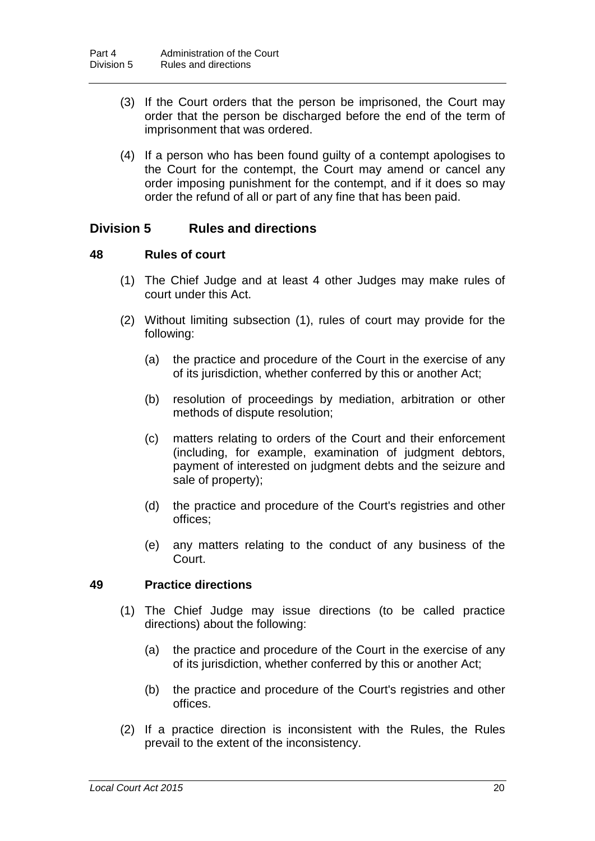- (3) If the Court orders that the person be imprisoned, the Court may order that the person be discharged before the end of the term of imprisonment that was ordered.
- (4) If a person who has been found guilty of a contempt apologises to the Court for the contempt, the Court may amend or cancel any order imposing punishment for the contempt, and if it does so may order the refund of all or part of any fine that has been paid.

#### **Division 5 Rules and directions**

#### <span id="page-25-0"></span>**48 Rules of court**

- (1) The Chief Judge and at least 4 other Judges may make rules of court under this Act.
- (2) Without limiting subsection (1), rules of court may provide for the following:
	- (a) the practice and procedure of the Court in the exercise of any of its jurisdiction, whether conferred by this or another Act;
	- (b) resolution of proceedings by mediation, arbitration or other methods of dispute resolution;
	- (c) matters relating to orders of the Court and their enforcement (including, for example, examination of judgment debtors, payment of interested on judgment debts and the seizure and sale of property);
	- (d) the practice and procedure of the Court's registries and other offices;
	- (e) any matters relating to the conduct of any business of the Court.

#### <span id="page-25-1"></span>**49 Practice directions**

- (1) The Chief Judge may issue directions (to be called practice directions) about the following:
	- (a) the practice and procedure of the Court in the exercise of any of its jurisdiction, whether conferred by this or another Act;
	- (b) the practice and procedure of the Court's registries and other offices.
- (2) If a practice direction is inconsistent with the Rules, the Rules prevail to the extent of the inconsistency.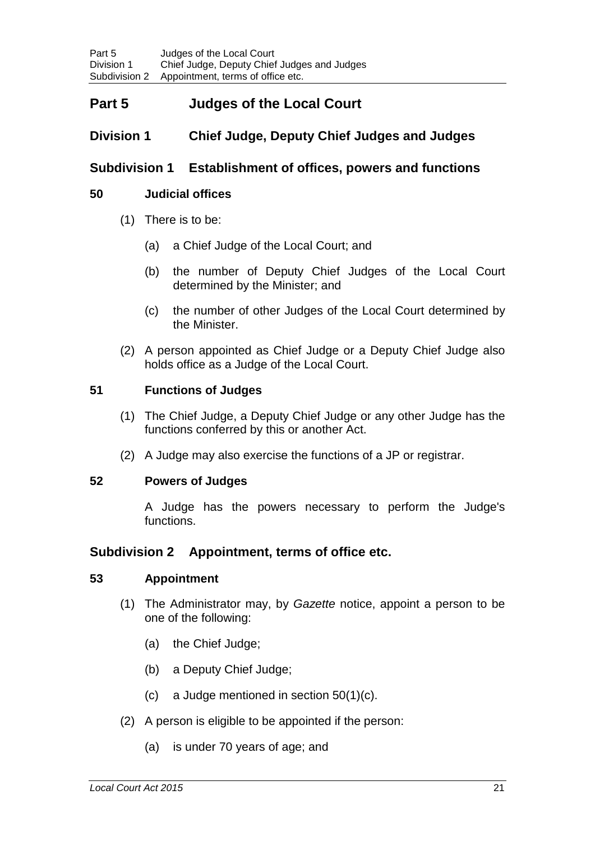## **Part 5 Judges of the Local Court**

## **Division 1 Chief Judge, Deputy Chief Judges and Judges**

#### **Subdivision 1 Establishment of offices, powers and functions**

#### <span id="page-26-0"></span>**50 Judicial offices**

- (1) There is to be:
	- (a) a Chief Judge of the Local Court; and
	- (b) the number of Deputy Chief Judges of the Local Court determined by the Minister; and
	- (c) the number of other Judges of the Local Court determined by the Minister.
- (2) A person appointed as Chief Judge or a Deputy Chief Judge also holds office as a Judge of the Local Court.

#### **51 Functions of Judges**

- (1) The Chief Judge, a Deputy Chief Judge or any other Judge has the functions conferred by this or another Act.
- (2) A Judge may also exercise the functions of a JP or registrar.

#### **52 Powers of Judges**

A Judge has the powers necessary to perform the Judge's functions.

#### **Subdivision 2 Appointment, terms of office etc.**

#### **53 Appointment**

- (1) The Administrator may, by *Gazette* notice, appoint a person to be one of the following:
	- (a) the Chief Judge;
	- (b) a Deputy Chief Judge;
	- (c) a Judge mentioned in section [50\(](#page-26-0)1)(c).
- (2) A person is eligible to be appointed if the person:
	- (a) is under 70 years of age; and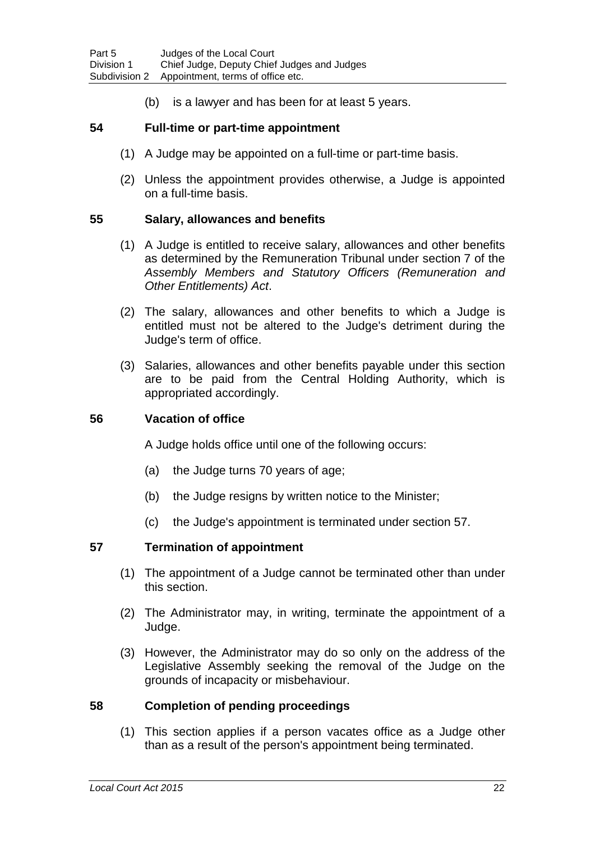(b) is a lawyer and has been for at least 5 years.

#### **54 Full-time or part-time appointment**

- (1) A Judge may be appointed on a full-time or part-time basis.
- (2) Unless the appointment provides otherwise, a Judge is appointed on a full-time basis.

#### **55 Salary, allowances and benefits**

- (1) A Judge is entitled to receive salary, allowances and other benefits as determined by the Remuneration Tribunal under section 7 of the *Assembly Members and Statutory Officers (Remuneration and Other Entitlements) Act*.
- (2) The salary, allowances and other benefits to which a Judge is entitled must not be altered to the Judge's detriment during the Judge's term of office.
- (3) Salaries, allowances and other benefits payable under this section are to be paid from the Central Holding Authority, which is appropriated accordingly.

#### **56 Vacation of office**

A Judge holds office until one of the following occurs:

- (a) the Judge turns 70 years of age;
- (b) the Judge resigns by written notice to the Minister;
- (c) the Judge's appointment is terminated under section [57.](#page-27-1)

#### <span id="page-27-1"></span>**57 Termination of appointment**

- (1) The appointment of a Judge cannot be terminated other than under this section.
- (2) The Administrator may, in writing, terminate the appointment of a Judge.
- (3) However, the Administrator may do so only on the address of the Legislative Assembly seeking the removal of the Judge on the grounds of incapacity or misbehaviour.

#### <span id="page-27-0"></span>**58 Completion of pending proceedings**

(1) This section applies if a person vacates office as a Judge other than as a result of the person's appointment being terminated.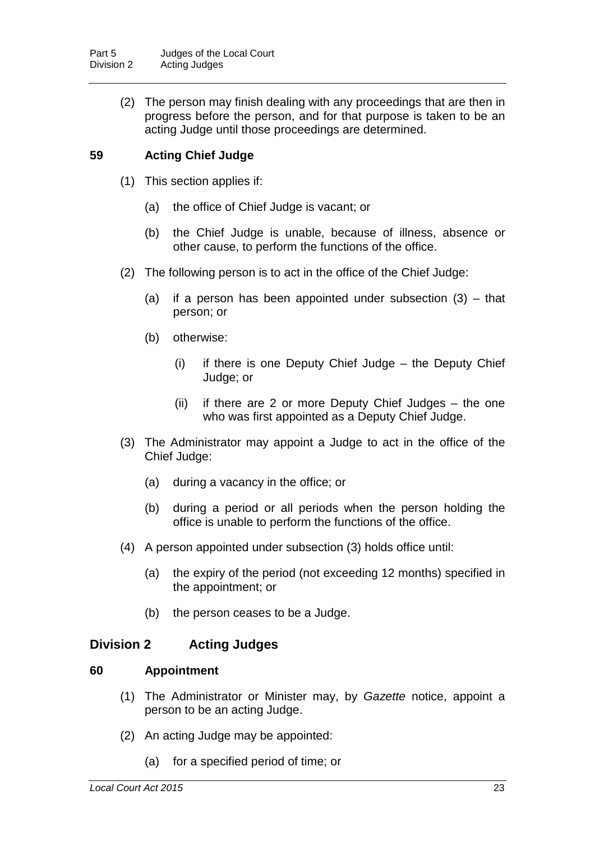(2) The person may finish dealing with any proceedings that are then in progress before the person, and for that purpose is taken to be an acting Judge until those proceedings are determined.

## <span id="page-28-1"></span>**59 Acting Chief Judge**

- (1) This section applies if:
	- (a) the office of Chief Judge is vacant; or
	- (b) the Chief Judge is unable, because of illness, absence or other cause, to perform the functions of the office.
- (2) The following person is to act in the office of the Chief Judge:
	- (a) if a person has been appointed under subsection (3) that person; or
	- (b) otherwise:
		- (i) if there is one Deputy Chief Judge the Deputy Chief Judge; or
		- (ii) if there are 2 or more Deputy Chief Judges the one who was first appointed as a Deputy Chief Judge.
- (3) The Administrator may appoint a Judge to act in the office of the Chief Judge:
	- (a) during a vacancy in the office; or
	- (b) during a period or all periods when the person holding the office is unable to perform the functions of the office.
- (4) A person appointed under subsection (3) holds office until:
	- (a) the expiry of the period (not exceeding 12 months) specified in the appointment; or
	- (b) the person ceases to be a Judge.

#### **Division 2 Acting Judges**

#### <span id="page-28-0"></span>**60 Appointment**

- (1) The Administrator or Minister may, by *Gazette* notice, appoint a person to be an acting Judge.
- (2) An acting Judge may be appointed:
	- (a) for a specified period of time; or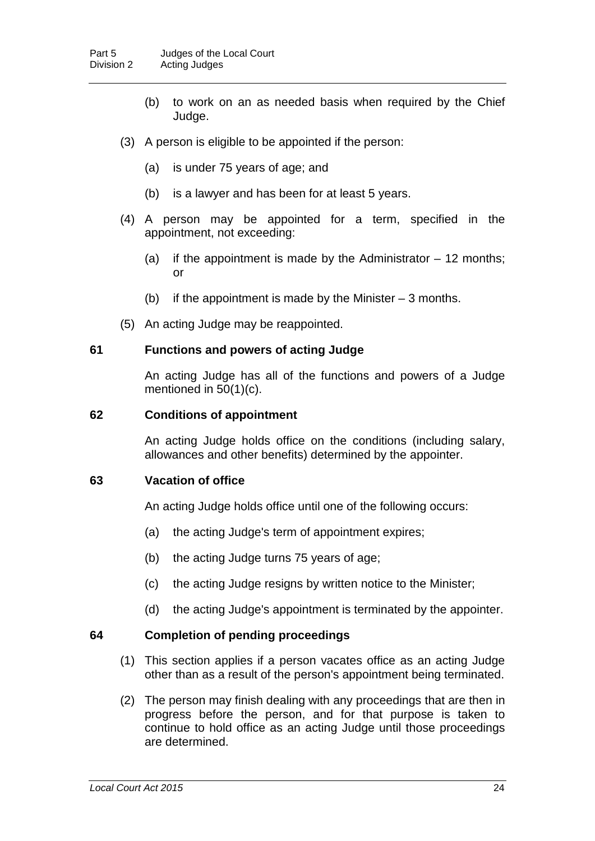- (b) to work on an as needed basis when required by the Chief Judge.
- (3) A person is eligible to be appointed if the person:
	- (a) is under 75 years of age; and
	- (b) is a lawyer and has been for at least 5 years.
- (4) A person may be appointed for a term, specified in the appointment, not exceeding:
	- (a) if the appointment is made by the Administrator  $-12$  months; or
	- (b) if the appointment is made by the Minister  $-3$  months.
- (5) An acting Judge may be reappointed.

#### **61 Functions and powers of acting Judge**

An acting Judge has all of the functions and powers of a Judge mentioned in [50\(](#page-26-0)1)(c).

#### **62 Conditions of appointment**

An acting Judge holds office on the conditions (including salary, allowances and other benefits) determined by the appointer.

#### **63 Vacation of office**

An acting Judge holds office until one of the following occurs:

- (a) the acting Judge's term of appointment expires;
- (b) the acting Judge turns 75 years of age;
- (c) the acting Judge resigns by written notice to the Minister;
- (d) the acting Judge's appointment is terminated by the appointer.

#### <span id="page-29-0"></span>**64 Completion of pending proceedings**

- (1) This section applies if a person vacates office as an acting Judge other than as a result of the person's appointment being terminated.
- (2) The person may finish dealing with any proceedings that are then in progress before the person, and for that purpose is taken to continue to hold office as an acting Judge until those proceedings are determined.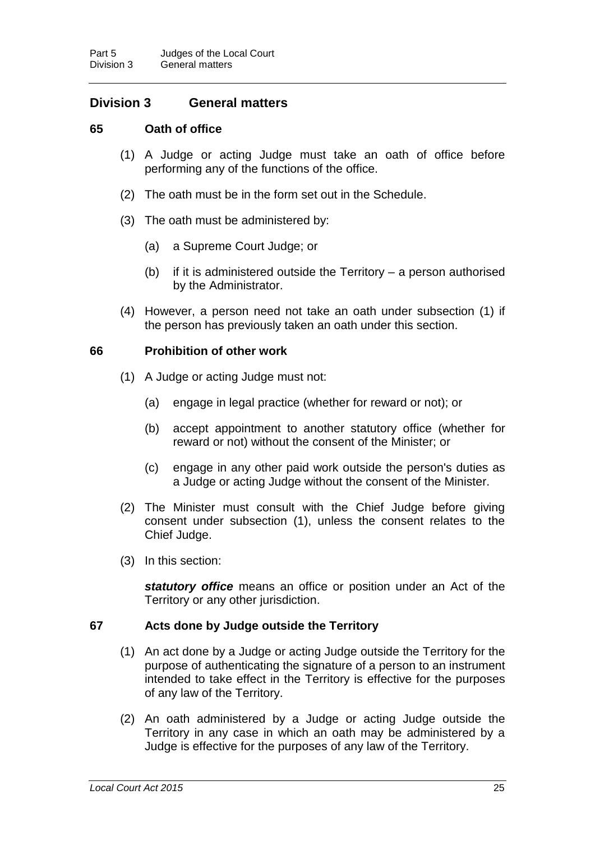## **Division 3 General matters**

#### <span id="page-30-0"></span>**65 Oath of office**

- (1) A Judge or acting Judge must take an oath of office before performing any of the functions of the office.
- (2) The oath must be in the form set out in the Schedule.
- (3) The oath must be administered by:
	- (a) a Supreme Court Judge; or
	- (b) if it is administered outside the Territory a person authorised by the Administrator.
- (4) However, a person need not take an oath under subsection (1) if the person has previously taken an oath under this section.

#### **66 Prohibition of other work**

- (1) A Judge or acting Judge must not:
	- (a) engage in legal practice (whether for reward or not); or
	- (b) accept appointment to another statutory office (whether for reward or not) without the consent of the Minister; or
	- (c) engage in any other paid work outside the person's duties as a Judge or acting Judge without the consent of the Minister.
- (2) The Minister must consult with the Chief Judge before giving consent under subsection (1), unless the consent relates to the Chief Judge.
- (3) In this section:

*statutory office* means an office or position under an Act of the Territory or any other jurisdiction.

#### **67 Acts done by Judge outside the Territory**

- (1) An act done by a Judge or acting Judge outside the Territory for the purpose of authenticating the signature of a person to an instrument intended to take effect in the Territory is effective for the purposes of any law of the Territory.
- (2) An oath administered by a Judge or acting Judge outside the Territory in any case in which an oath may be administered by a Judge is effective for the purposes of any law of the Territory.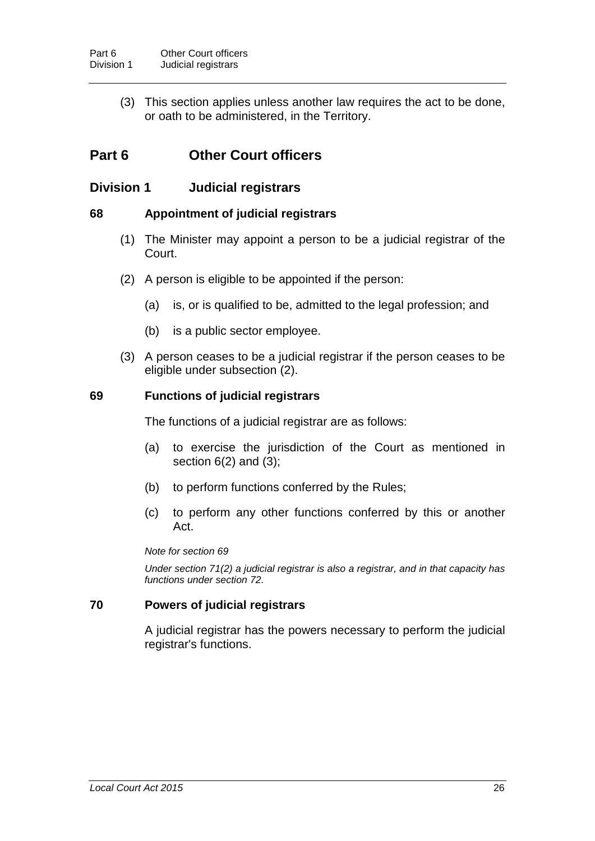(3) This section applies unless another law requires the act to be done, or oath to be administered, in the Territory.

## **Part 6 Other Court officers**

## **Division 1 Judicial registrars**

#### <span id="page-31-0"></span>**68 Appointment of judicial registrars**

- (1) The Minister may appoint a person to be a judicial registrar of the Court.
- (2) A person is eligible to be appointed if the person:
	- (a) is, or is qualified to be, admitted to the legal profession; and
	- (b) is a public sector employee.
- (3) A person ceases to be a judicial registrar if the person ceases to be eligible under subsection (2).

#### <span id="page-31-1"></span>**69 Functions of judicial registrars**

The functions of a judicial registrar are as follows:

- (a) to exercise the jurisdiction of the Court as mentioned in section  $6(2)$  $6(2)$  and  $(3)$ ;
- (b) to perform functions conferred by the Rules;
- (c) to perform any other functions conferred by this or another Act.

#### *Note for section [69](#page-31-1)*

*Under section [71\(](#page-32-0)2) a judicial registrar is also a registrar, and in that capacity has functions under section [72.](#page-32-2)*

#### **70 Powers of judicial registrars**

A judicial registrar has the powers necessary to perform the judicial registrar's functions.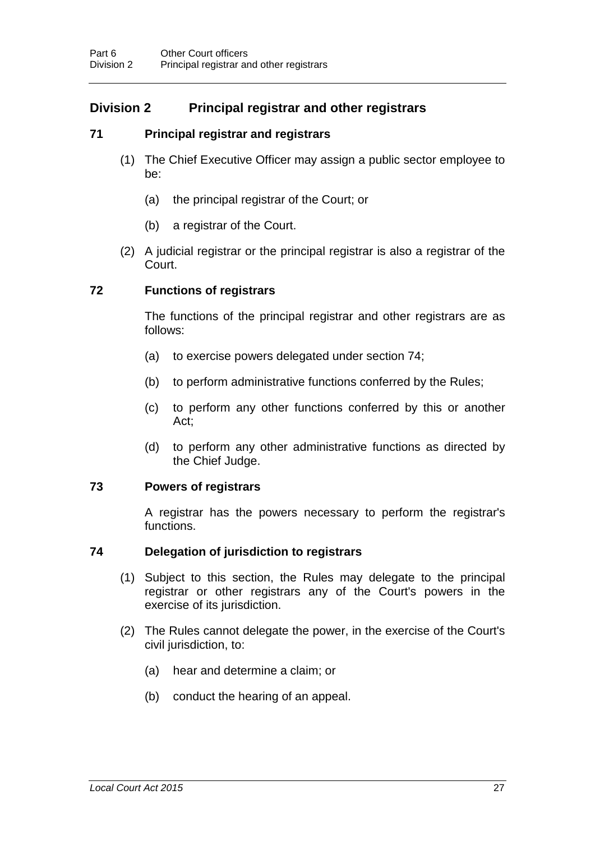## **Division 2 Principal registrar and other registrars**

#### <span id="page-32-0"></span>**71 Principal registrar and registrars**

- (1) The Chief Executive Officer may assign a public sector employee to be:
	- (a) the principal registrar of the Court; or
	- (b) a registrar of the Court.
- (2) A judicial registrar or the principal registrar is also a registrar of the Court.

#### <span id="page-32-2"></span>**72 Functions of registrars**

The functions of the principal registrar and other registrars are as follows:

- (a) to exercise powers delegated under section [74;](#page-32-1)
- (b) to perform administrative functions conferred by the Rules;
- (c) to perform any other functions conferred by this or another Act;
- (d) to perform any other administrative functions as directed by the Chief Judge.

#### **73 Powers of registrars**

A registrar has the powers necessary to perform the registrar's functions.

#### <span id="page-32-1"></span>**74 Delegation of jurisdiction to registrars**

- (1) Subject to this section, the Rules may delegate to the principal registrar or other registrars any of the Court's powers in the exercise of its jurisdiction.
- (2) The Rules cannot delegate the power, in the exercise of the Court's civil jurisdiction, to:
	- (a) hear and determine a claim; or
	- (b) conduct the hearing of an appeal.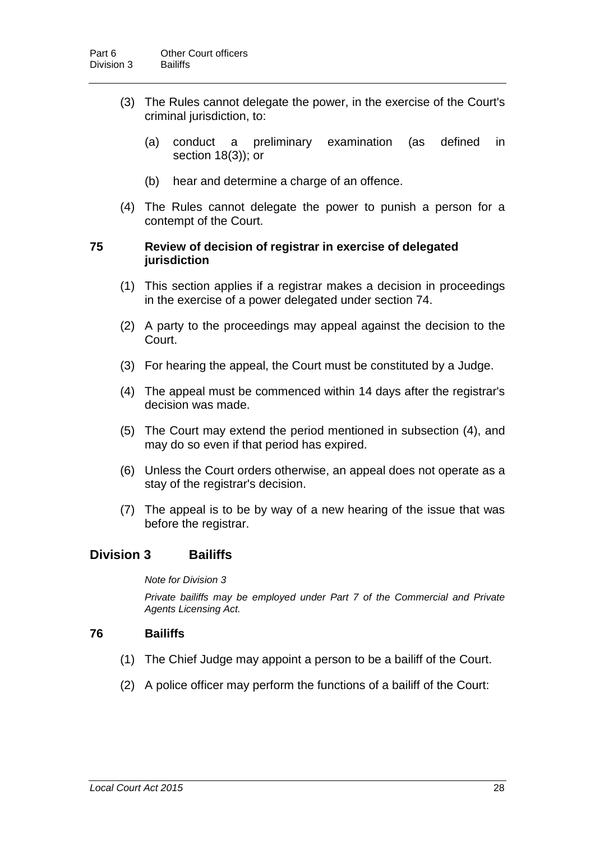- (3) The Rules cannot delegate the power, in the exercise of the Court's criminal jurisdiction, to:
	- (a) conduct a preliminary examination (as defined in section [18\(](#page-12-0)3)); or
	- (b) hear and determine a charge of an offence.
- (4) The Rules cannot delegate the power to punish a person for a contempt of the Court.

#### **75 Review of decision of registrar in exercise of delegated jurisdiction**

- (1) This section applies if a registrar makes a decision in proceedings in the exercise of a power delegated under section [74.](#page-32-1)
- (2) A party to the proceedings may appeal against the decision to the Court.
- (3) For hearing the appeal, the Court must be constituted by a Judge.
- (4) The appeal must be commenced within 14 days after the registrar's decision was made.
- (5) The Court may extend the period mentioned in subsection (4), and may do so even if that period has expired.
- (6) Unless the Court orders otherwise, an appeal does not operate as a stay of the registrar's decision.
- (7) The appeal is to be by way of a new hearing of the issue that was before the registrar.

#### **Division 3 Bailiffs**

*Note for Division 3*

*Private bailiffs may be employed under Part 7 of the Commercial and Private Agents Licensing Act.*

#### <span id="page-33-0"></span>**76 Bailiffs**

- (1) The Chief Judge may appoint a person to be a bailiff of the Court.
- (2) A police officer may perform the functions of a bailiff of the Court: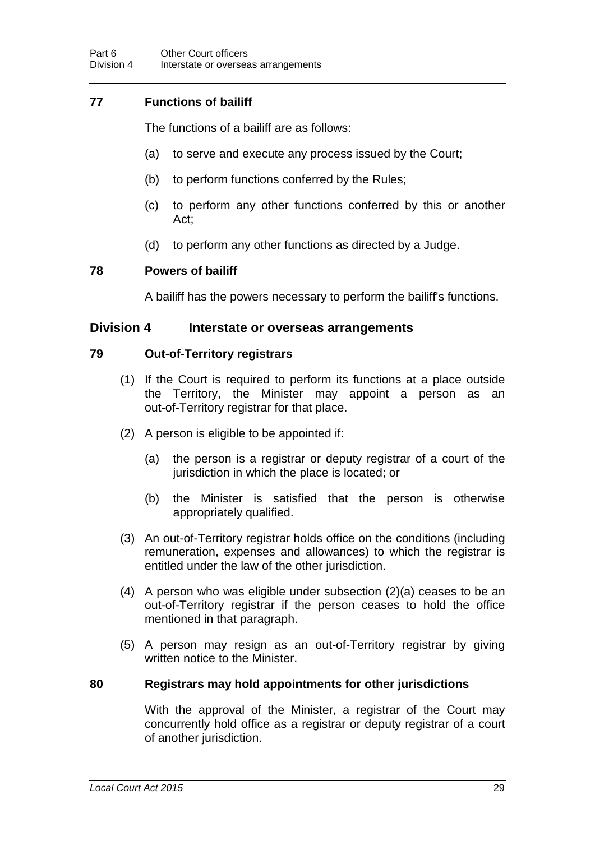## **77 Functions of bailiff**

The functions of a bailiff are as follows:

- (a) to serve and execute any process issued by the Court;
- (b) to perform functions conferred by the Rules;
- (c) to perform any other functions conferred by this or another Act;
- (d) to perform any other functions as directed by a Judge.

#### **78 Powers of bailiff**

A bailiff has the powers necessary to perform the bailiff's functions.

#### **Division 4 Interstate or overseas arrangements**

#### <span id="page-34-0"></span>**79 Out-of-Territory registrars**

- (1) If the Court is required to perform its functions at a place outside the Territory, the Minister may appoint a person as an out-of-Territory registrar for that place.
- (2) A person is eligible to be appointed if:
	- (a) the person is a registrar or deputy registrar of a court of the jurisdiction in which the place is located; or
	- (b) the Minister is satisfied that the person is otherwise appropriately qualified.
- (3) An out-of-Territory registrar holds office on the conditions (including remuneration, expenses and allowances) to which the registrar is entitled under the law of the other jurisdiction.
- (4) A person who was eligible under subsection (2)(a) ceases to be an out-of-Territory registrar if the person ceases to hold the office mentioned in that paragraph.
- (5) A person may resign as an out-of-Territory registrar by giving written notice to the Minister.

#### **80 Registrars may hold appointments for other jurisdictions**

With the approval of the Minister, a registrar of the Court may concurrently hold office as a registrar or deputy registrar of a court of another jurisdiction.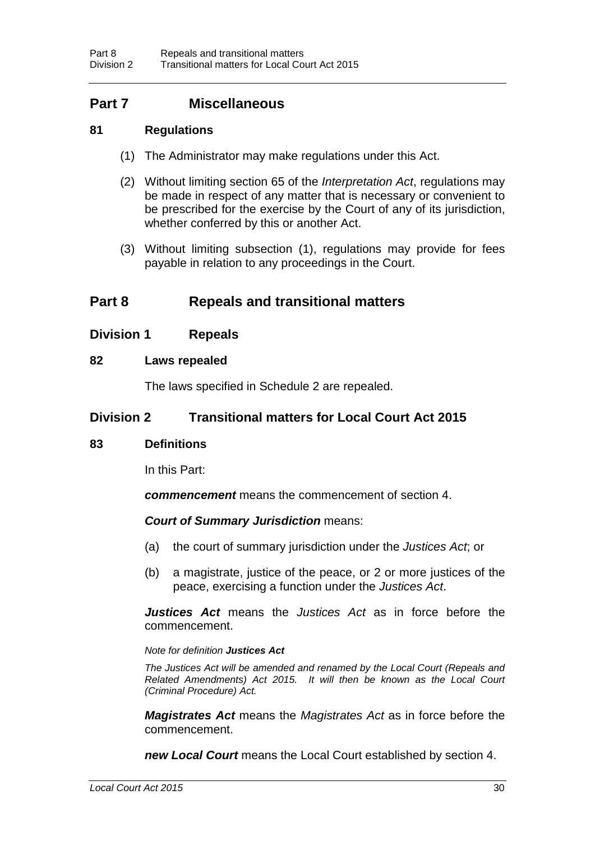## **Part 7 Miscellaneous**

#### **81 Regulations**

- (1) The Administrator may make regulations under this Act.
- (2) Without limiting section 65 of the *Interpretation Act*, regulations may be made in respect of any matter that is necessary or convenient to be prescribed for the exercise by the Court of any of its jurisdiction, whether conferred by this or another Act.
- (3) Without limiting subsection (1), regulations may provide for fees payable in relation to any proceedings in the Court.

## **Part 8 Repeals and transitional matters**

#### **Division 1 Repeals**

#### <span id="page-35-0"></span>**82 Laws repealed**

The laws specified in Schedule 2 are repealed.

#### **Division 2 Transitional matters for Local Court Act 2015**

#### **83 Definitions**

In this Part:

*commencement* means the commencement of section [4.](#page-8-1)

#### *Court of Summary Jurisdiction* means:

- (a) the court of summary jurisdiction under the *Justices Act*; or
- (b) a magistrate, justice of the peace, or 2 or more justices of the peace, exercising a function under the *Justices Act*.

*Justices Act* means the *Justices Act* as in force before the commencement.

#### *Note for definition Justices Act*

*The Justices Act will be amended and renamed by the Local Court (Repeals and Related Amendments) Act 2015. It will then be known as the Local Court (Criminal Procedure) Act.* 

*Magistrates Act* means the *Magistrates Act* as in force before the commencement.

*new Local Court* means the Local Court established by section [4.](#page-8-1)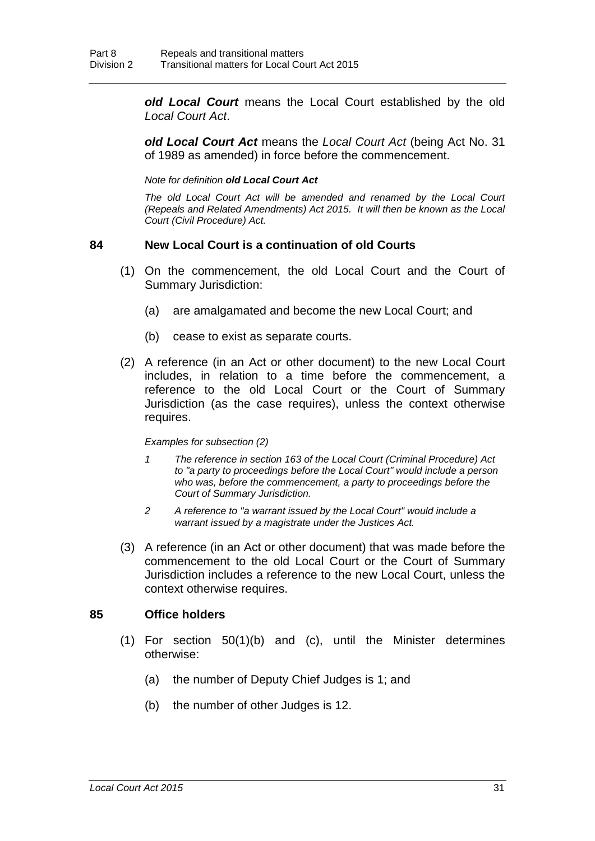*old Local Court* means the Local Court established by the old *Local Court Act*.

*old Local Court Act* means the *Local Court Act* (being Act No. 31 of 1989 as amended) in force before the commencement.

*Note for definition old Local Court Act*

*The old Local Court Act will be amended and renamed by the Local Court (Repeals and Related Amendments) Act 2015. It will then be known as the Local Court (Civil Procedure) Act.* 

#### **84 New Local Court is a continuation of old Courts**

- (1) On the commencement, the old Local Court and the Court of Summary Jurisdiction:
	- (a) are amalgamated and become the new Local Court; and
	- (b) cease to exist as separate courts.
- (2) A reference (in an Act or other document) to the new Local Court includes, in relation to a time before the commencement, a reference to the old Local Court or the Court of Summary Jurisdiction (as the case requires), unless the context otherwise requires.

#### *Examples for subsection (2)*

- *1 The reference in section 163 of the Local Court (Criminal Procedure) Act to "a party to proceedings before the Local Court" would include a person who was, before the commencement, a party to proceedings before the Court of Summary Jurisdiction.*
- *2 A reference to "a warrant issued by the Local Court" would include a warrant issued by a magistrate under the Justices Act.*
- (3) A reference (in an Act or other document) that was made before the commencement to the old Local Court or the Court of Summary Jurisdiction includes a reference to the new Local Court, unless the context otherwise requires.

#### **85 Office holders**

- (1) For section [50\(](#page-26-0)1)(b) and (c), until the Minister determines otherwise:
	- (a) the number of Deputy Chief Judges is 1; and
	- (b) the number of other Judges is 12.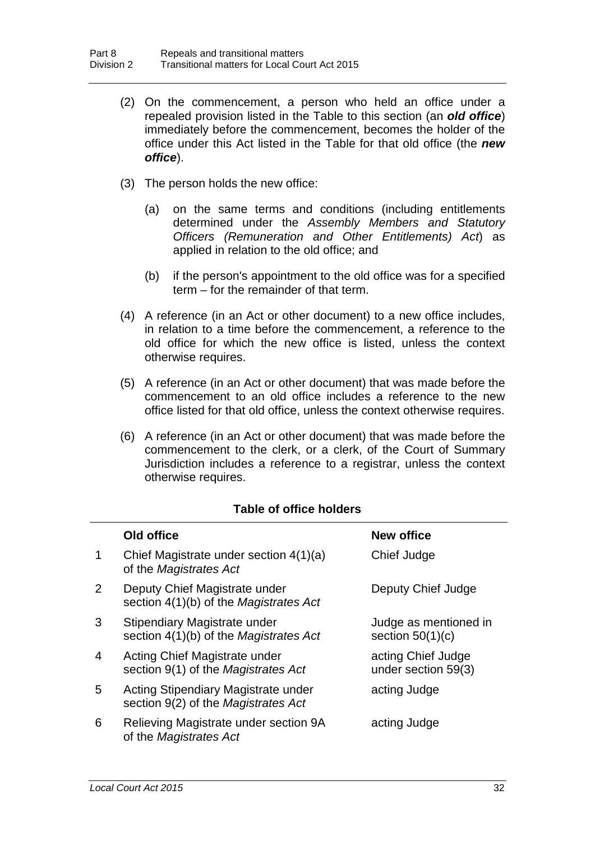- (2) On the commencement, a person who held an office under a repealed provision listed in the Table to this section (an *old office*) immediately before the commencement, becomes the holder of the office under this Act listed in the Table for that old office (the *new office*).
- (3) The person holds the new office:
	- (a) on the same terms and conditions (including entitlements determined under the *Assembly Members and Statutory Officers (Remuneration and Other Entitlements) Act*) as applied in relation to the old office; and
	- (b) if the person's appointment to the old office was for a specified term – for the remainder of that term.
- (4) A reference (in an Act or other document) to a new office includes, in relation to a time before the commencement, a reference to the old office for which the new office is listed, unless the context otherwise requires.
- (5) A reference (in an Act or other document) that was made before the commencement to an old office includes a reference to the new office listed for that old office, unless the context otherwise requires.
- (6) A reference (in an Act or other document) that was made before the commencement to the clerk, or a clerk, of the Court of Summary Jurisdiction includes a reference to a registrar, unless the context otherwise requires.

|                | Old office                                                                 | <b>New office</b>                           |
|----------------|----------------------------------------------------------------------------|---------------------------------------------|
| 1              | Chief Magistrate under section 4(1)(a)<br>of the Magistrates Act           | Chief Judge                                 |
| 2              | Deputy Chief Magistrate under<br>section 4(1)(b) of the Magistrates Act    | Deputy Chief Judge                          |
| 3              | Stipendiary Magistrate under<br>section 4(1)(b) of the Magistrates Act     | Judge as mentioned in<br>section $50(1)(c)$ |
| $\overline{4}$ | Acting Chief Magistrate under<br>section 9(1) of the Magistrates Act       | acting Chief Judge<br>under section 59(3)   |
| 5              | Acting Stipendiary Magistrate under<br>section 9(2) of the Magistrates Act | acting Judge                                |
| 6              | Relieving Magistrate under section 9A<br>of the Magistrates Act            | acting Judge                                |

#### **Table of office holders**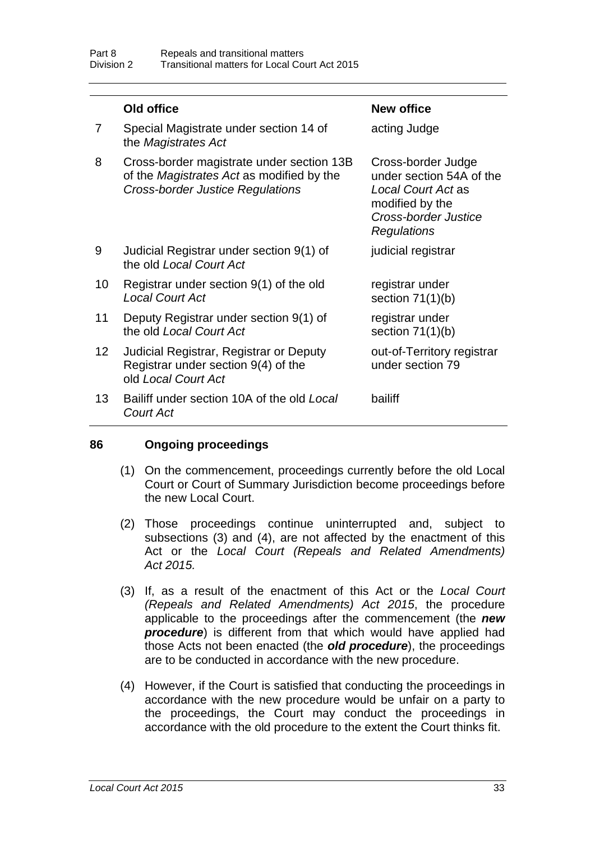|                 | Old office                                                                                                                        | <b>New office</b>                                                                                                              |
|-----------------|-----------------------------------------------------------------------------------------------------------------------------------|--------------------------------------------------------------------------------------------------------------------------------|
| 7               | Special Magistrate under section 14 of<br>the Magistrates Act                                                                     | acting Judge                                                                                                                   |
| 8               | Cross-border magistrate under section 13B<br>of the Magistrates Act as modified by the<br><b>Cross-border Justice Regulations</b> | Cross-border Judge<br>under section 54A of the<br>Local Court Act as<br>modified by the<br>Cross-border Justice<br>Regulations |
| 9               | Judicial Registrar under section 9(1) of<br>the old Local Court Act                                                               | judicial registrar                                                                                                             |
| 10              | Registrar under section 9(1) of the old<br><b>Local Court Act</b>                                                                 | registrar under<br>section $71(1)(b)$                                                                                          |
| 11              | Deputy Registrar under section 9(1) of<br>the old Local Court Act                                                                 | registrar under<br>section $71(1)(b)$                                                                                          |
| 12 <sub>2</sub> | Judicial Registrar, Registrar or Deputy<br>Registrar under section 9(4) of the<br>old Local Court Act                             | out-of-Territory registrar<br>under section 79                                                                                 |
| 13              | Bailiff under section 10A of the old Local<br>Court Act                                                                           | bailiff                                                                                                                        |

#### **86 Ongoing proceedings**

- (1) On the commencement, proceedings currently before the old Local Court or Court of Summary Jurisdiction become proceedings before the new Local Court.
- (2) Those proceedings continue uninterrupted and, subject to subsections (3) and (4), are not affected by the enactment of this Act or the *Local Court (Repeals and Related Amendments) Act 2015.*
- (3) If, as a result of the enactment of this Act or the *Local Court (Repeals and Related Amendments) Act 2015*, the procedure applicable to the proceedings after the commencement (the *new procedure*) is different from that which would have applied had those Acts not been enacted (the *old procedure*), the proceedings are to be conducted in accordance with the new procedure.
- (4) However, if the Court is satisfied that conducting the proceedings in accordance with the new procedure would be unfair on a party to the proceedings, the Court may conduct the proceedings in accordance with the old procedure to the extent the Court thinks fit.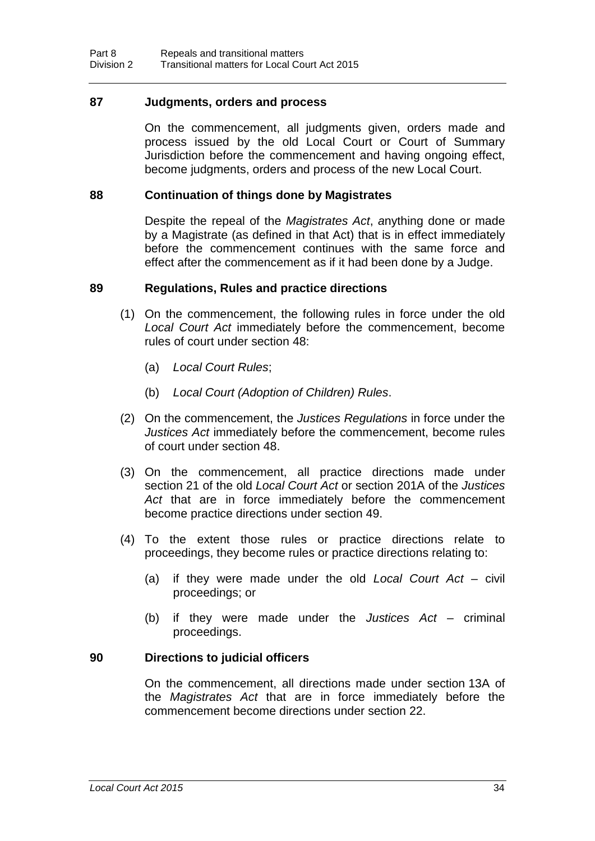#### **87 Judgments, orders and process**

On the commencement, all judgments given, orders made and process issued by the old Local Court or Court of Summary Jurisdiction before the commencement and having ongoing effect, become judgments, orders and process of the new Local Court.

#### **88 Continuation of things done by Magistrates**

Despite the repeal of the *Magistrates Act*, *a*nything done or made by a Magistrate (as defined in that Act) that is in effect immediately before the commencement continues with the same force and effect after the commencement as if it had been done by a Judge.

#### **89 Regulations, Rules and practice directions**

- (1) On the commencement, the following rules in force under the old *Local Court Act* immediately before the commencement, become rules of court under section [48:](#page-25-0)
	- (a) *Local Court Rules*;
	- (b) *Local Court (Adoption of Children) Rules*.
- (2) On the commencement, the *Justices Regulations* in force under the *Justices Act* immediately before the commencement, become rules of court under section [48.](#page-25-0)
- (3) On the commencement, all practice directions made under section 21 of the old *Local Court Act* or section 201A of the *Justices Act* that are in force immediately before the commencement become practice directions under section [49.](#page-25-1)
- (4) To the extent those rules or practice directions relate to proceedings, they become rules or practice directions relating to:
	- (a) if they were made under the old *Local Court Act* civil proceedings; or
	- (b) if they were made under the *Justices Act* criminal proceedings.

#### **90 Directions to judicial officers**

On the commencement, all directions made under section 13A of the *Magistrates Act* that are in force immediately before the commencement become directions under section [22.](#page-14-0)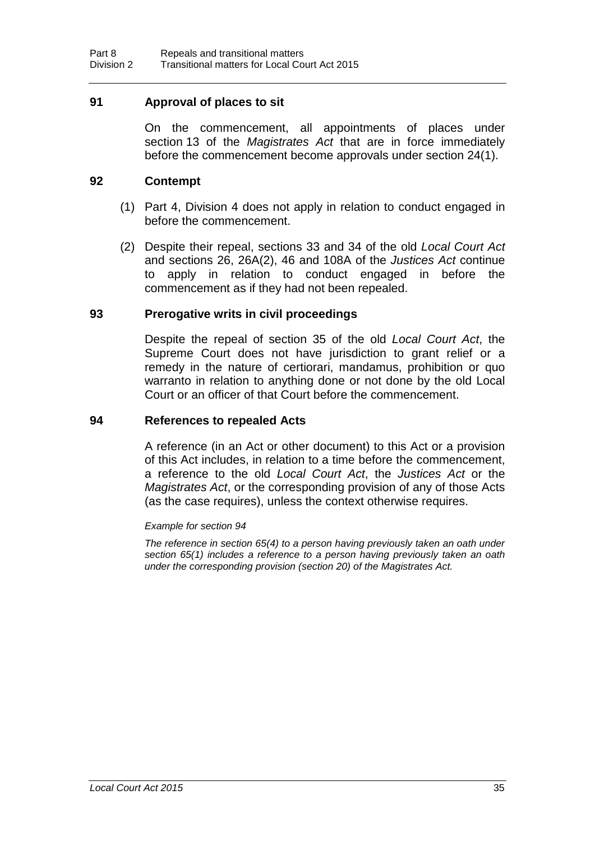#### **91 Approval of places to sit**

On the commencement, all appointments of places under section 13 of the *Magistrates Act* that are in force immediately before the commencement become approvals under section [24\(](#page-15-0)1).

#### **92 Contempt**

- (1) Part 4, Division 4 does not apply in relation to conduct engaged in before the commencement.
- (2) Despite their repeal, sections 33 and 34 of the old *Local Court Act* and sections 26, 26A(2), 46 and 108A of the *Justices Act* continue to apply in relation to conduct engaged in before the commencement as if they had not been repealed.

#### **93 Prerogative writs in civil proceedings**

Despite the repeal of section 35 of the old *Local Court Act*, the Supreme Court does not have jurisdiction to grant relief or a remedy in the nature of certiorari, mandamus, prohibition or quo warranto in relation to anything done or not done by the old Local Court or an officer of that Court before the commencement.

#### <span id="page-40-0"></span>**94 References to repealed Acts**

A reference (in an Act or other document) to this Act or a provision of this Act includes, in relation to a time before the commencement, a reference to the old *Local Court Act*, the *Justices Act* or the *Magistrates Act*, or the corresponding provision of any of those Acts (as the case requires), unless the context otherwise requires.

#### *Example for section [94](#page-40-0)*

*The reference in section [65\(](#page-30-0)4) to a person having previously taken an oath under section [65\(](#page-30-0)1) includes a reference to a person having previously taken an oath under the corresponding provision (section 20) of the Magistrates Act.*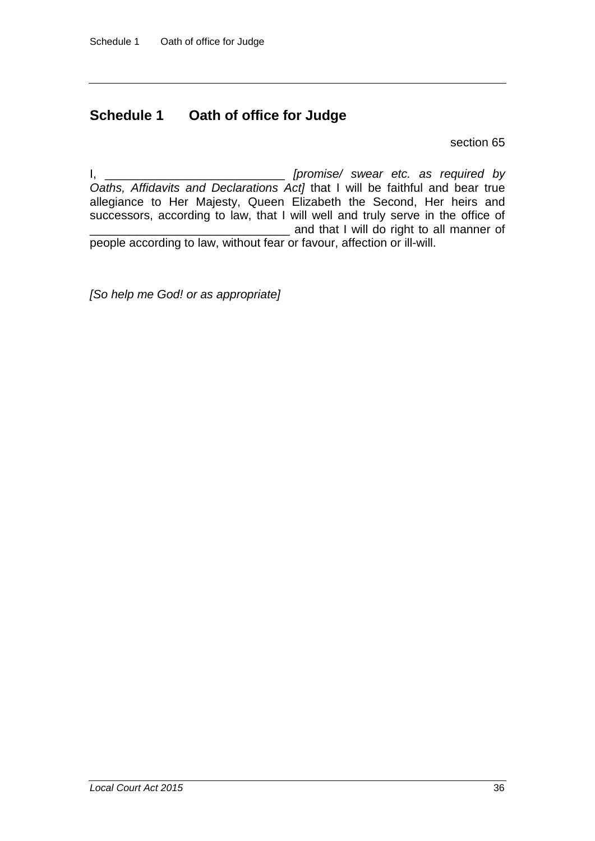## **Schedule 1 Oath of office for Judge**

section [65](#page-30-0)

I, \_\_\_\_\_\_\_\_\_\_\_\_\_\_\_\_\_\_\_\_\_\_\_\_\_\_\_ *[promise/ swear etc. as required by Oaths, Affidavits and Declarations Act]* that I will be faithful and bear true allegiance to Her Majesty, Queen Elizabeth the Second, Her heirs and successors, according to law, that I will well and truly serve in the office of **Example 2** and that I will do right to all manner of people according to law, without fear or favour, affection or ill-will.

*[So help me God! or as appropriate]*